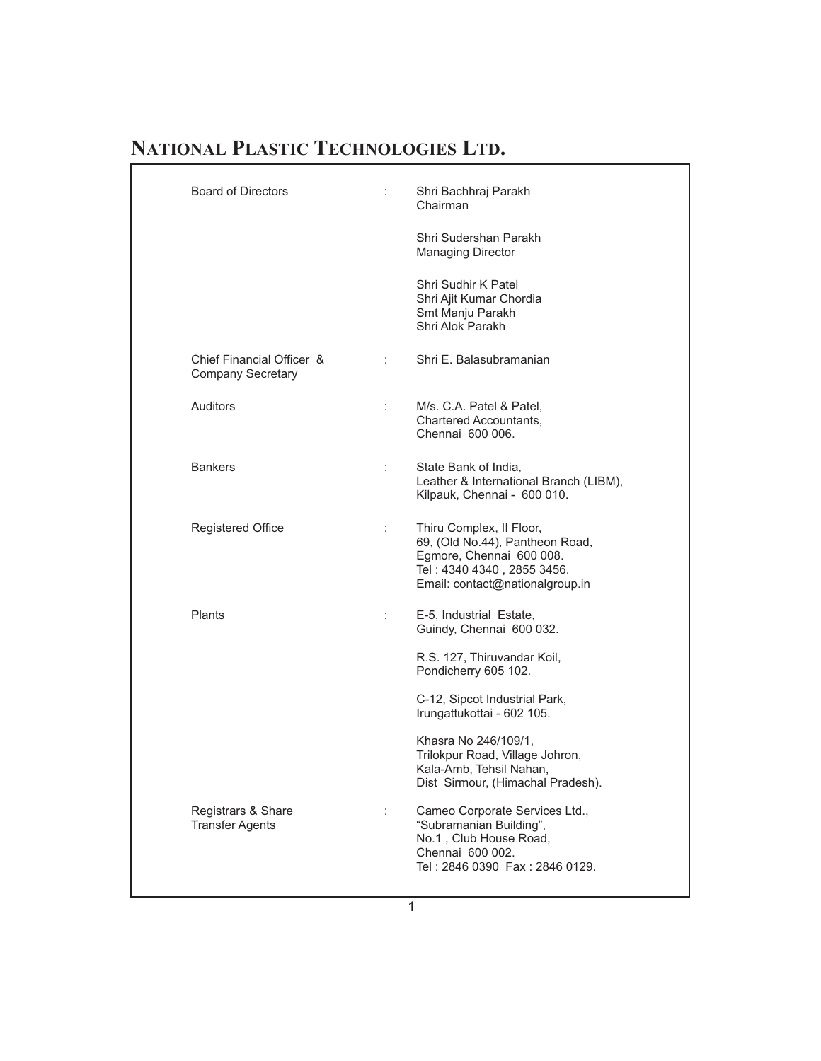| ÷  | Shri Bachhraj Parakh<br>Chairman                                                                                                                         |
|----|----------------------------------------------------------------------------------------------------------------------------------------------------------|
|    | Shri Sudershan Parakh<br><b>Managing Director</b>                                                                                                        |
|    | Shri Sudhir K Patel<br>Shri Ajit Kumar Chordia<br>Smt Manju Parakh<br>Shri Alok Parakh                                                                   |
| ÷. | Shri E. Balasubramanian                                                                                                                                  |
| ÷  | M/s. C.A. Patel & Patel,<br>Chartered Accountants,<br>Chennai 600 006.                                                                                   |
|    | State Bank of India,<br>Leather & International Branch (LIBM),<br>Kilpauk, Chennai - 600 010.                                                            |
| ÷  | Thiru Complex, Il Floor,<br>69, (Old No.44), Pantheon Road,<br>Egmore, Chennai 600 008.<br>Tel: 4340 4340, 2855 3456.<br>Email: contact@nationalgroup.in |
| ÷  | E-5, Industrial Estate,<br>Guindy, Chennai 600 032.                                                                                                      |
|    | R.S. 127, Thiruvandar Koil,<br>Pondicherry 605 102.                                                                                                      |
|    | C-12, Sipcot Industrial Park,<br>Irungattukottai - 602 105.                                                                                              |
|    | Khasra No 246/109/1,<br>Trilokpur Road, Village Johron,<br>Kala-Amb, Tehsil Nahan,<br>Dist Sirmour, (Himachal Pradesh).                                  |
| ÷  | Cameo Corporate Services Ltd.,<br>"Subramanian Building",<br>No.1, Club House Road,<br>Chennai 600 002.<br>Tel: 2846 0390 Fax: 2846 0129.                |
|    |                                                                                                                                                          |

1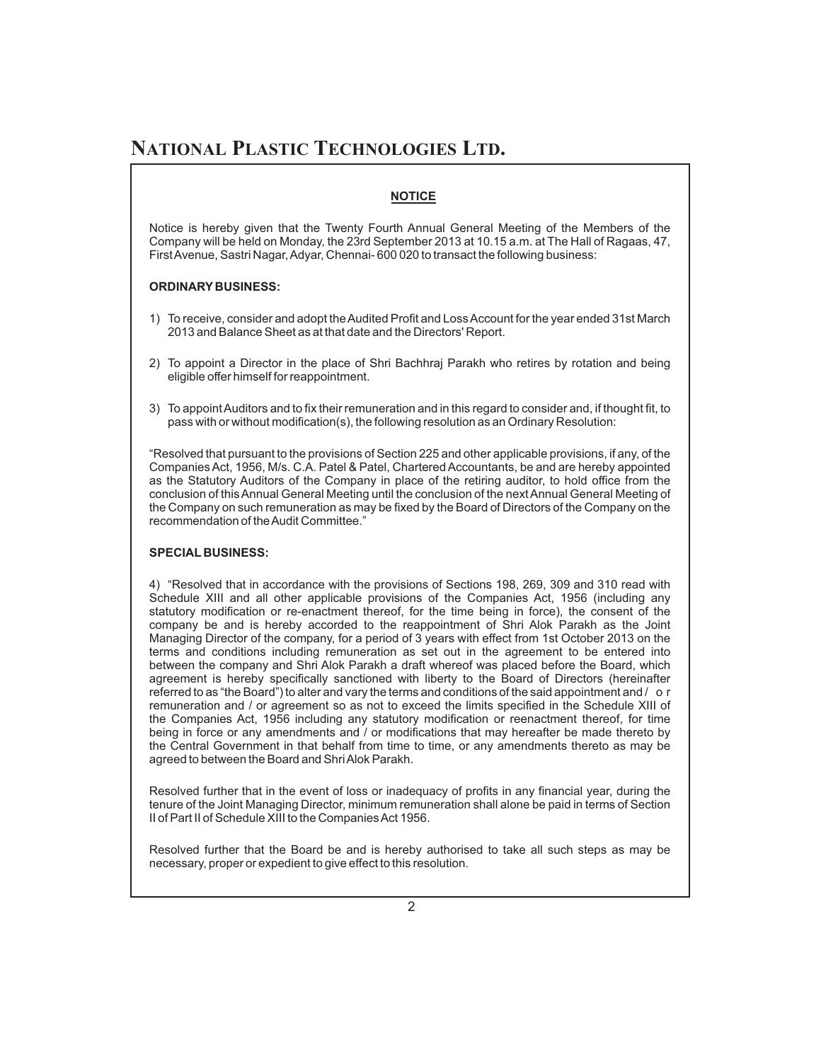#### **NOTICE**

Notice is hereby given that the Twenty Fourth Annual General Meeting of the Members of the Company will be held on Monday, the 23rd September 2013 at 10.15 a.m. at The Hall of Ragaas, 47, First Avenue, Sastri Nagar, Adyar, Chennai- 600 020 to transact the following business:

#### **ORDINARY BUSINESS:**

- 1) To receive, consider and adopt theAudited Profit and LossAccount for the year ended 31st March 2013 and Balance Sheet as at that date and the Directors' Report.
- 2) To appoint a Director in the place of Shri Bachhraj Parakh who retires by rotation and being eligible offer himself for reappointment.
- 3) To appointAuditors and to fix their remuneration and in this regard to consider and, if thought fit, to pass with or without modification(s), the following resolution as an Ordinary Resolution:

"Resolved that pursuant to the provisions of Section 225 and other applicable provisions, if any, of the Companies Act, 1956, M/s. C.A. Patel & Patel, Chartered Accountants, be and are hereby appointed as the Statutory Auditors of the Company in place of the retiring auditor, to hold office from the conclusion of thisAnnual General Meeting until the conclusion of the nextAnnual General Meeting of the Company on such remuneration as may be fixed by the Board of Directors of the Company on the recommendation of theAudit Committee."

#### **SPECIAL BUSINESS:**

4) "Resolved that in accordance with the provisions of Sections 198, 269, 309 and 310 read with Schedule XIII and all other applicable provisions of the Companies Act, 1956 (including any statutory modification or re-enactment thereof, for the time being in force), the consent of the company be and is hereby accorded to the reappointment of Shri Alok Parakh as the Joint Managing Director of the company, for a period of 3 years with effect from 1st October 2013 on the terms and conditions including remuneration as set out in the agreement to be entered into between the company and Shri Alok Parakh a draft whereof was placed before the Board, which agreement is hereby specifically sanctioned with liberty to the Board of Directors (hereinafter referred to as "the Board") to alter and vary the terms and conditions of the said appointment and / o r remuneration and / or agreement so as not to exceed the limits specified in the Schedule XIII of the Companies Act, 1956 including any statutory modification or reenactment thereof, for time being in force or any amendments and / or modifications that may hereafter be made thereto by the Central Government in that behalf from time to time, or any amendments thereto as may be agreed to between the Board and ShriAlok Parakh.

Resolved further that in the event of loss or inadequacy of profits in any financial year, during the tenure of the Joint Managing Director, minimum remuneration shall alone be paid in terms of Section II of Part II of Schedule XIII to the Companies Act 1956.

Resolved further that the Board be and is hereby authorised to take all such steps as may be necessary, proper or expedient to give effect to this resolution.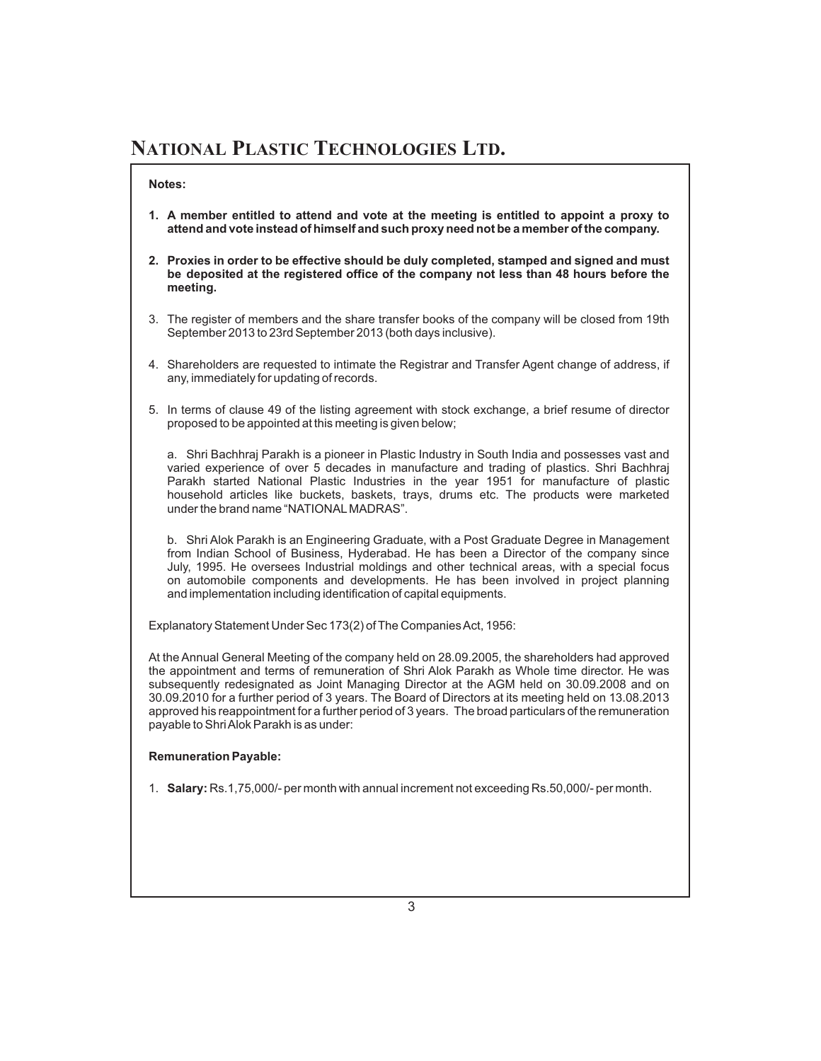#### **Notes:**

- **1. A member entitled to attend and vote at the meeting is entitled to appoint a proxy to attend and vote instead of himself and such proxy need not be a member of the company.**
- **2. Proxies in order to be effective should be duly completed, stamped and signed and must be deposited at the registered office of the company not less than 48 hours before the meeting.**
- 3. The register of members and the share transfer books of the company will be closed from 19th September 2013 to 23rd September 2013 (both days inclusive).
- 4. Shareholders are requested to intimate the Registrar and Transfer Agent change of address, if any, immediately for updating of records.
- 5. In terms of clause 49 of the listing agreement with stock exchange, a brief resume of director proposed to be appointed at this meeting is given below;

a. Shri Bachhraj Parakh is a pioneer in Plastic Industry in South India and possesses vast and varied experience of over 5 decades in manufacture and trading of plastics. Shri Bachhraj Parakh started National Plastic Industries in the year 1951 for manufacture of plastic household articles like buckets, baskets, trays, drums etc. The products were marketed under the brand name "NATIONALMADRAS".

b. Shri Alok Parakh is an Engineering Graduate, with a Post Graduate Degree in Management from Indian School of Business, Hyderabad. He has been a Director of the company since July, 1995. He oversees Industrial moldings and other technical areas, with a special focus on automobile components and developments. He has been involved in project planning and implementation including identification of capital equipments.

Explanatory Statement Under Sec 173(2) of The Companies Act, 1956:

At the Annual General Meeting of the company held on 28.09.2005, the shareholders had approved the appointment and terms of remuneration of Shri Alok Parakh as Whole time director. He was subsequently redesignated as Joint Managing Director at the AGM held on 30.09.2008 and on 30.09.2010 for a further period of 3 years. The Board of Directors at its meeting held on 13.08.2013 approved his reappointment for a further period of 3 years. The broad particulars of the remuneration payable to ShriAlok Parakh is as under:

#### **Remuneration Payable:**

1. Salary: Rs.1,75,000/- per month with annual increment not exceeding Rs.50,000/- per month.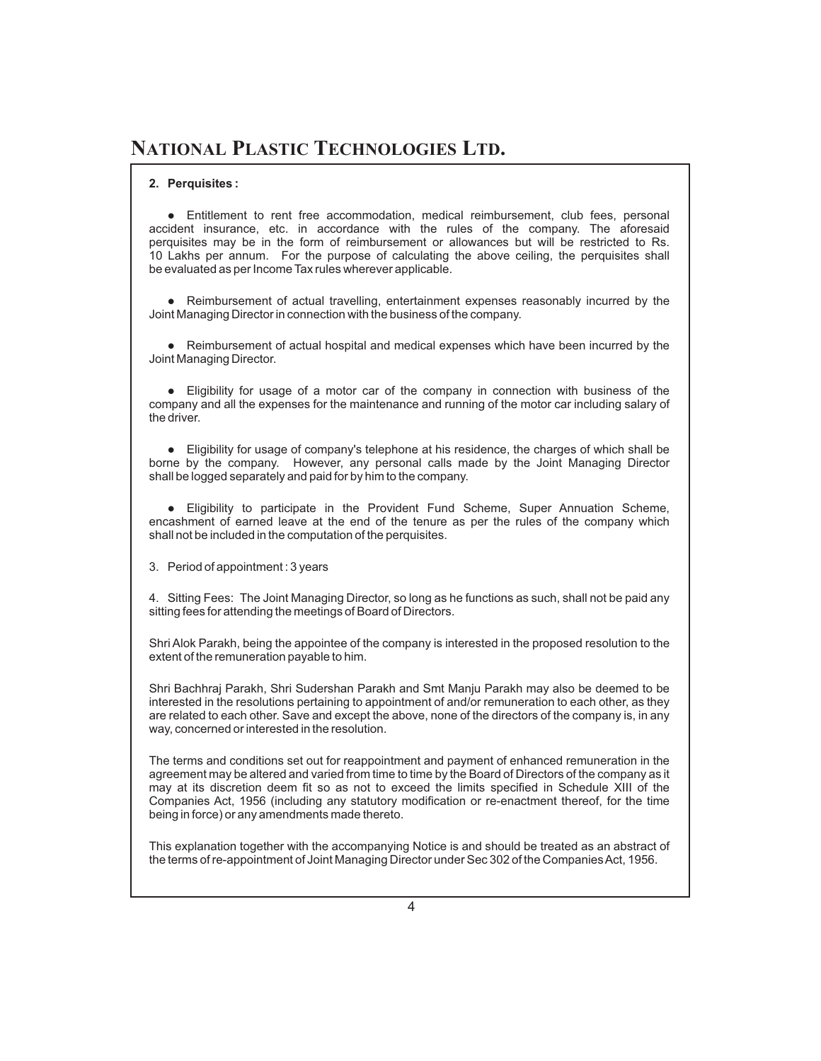#### **2. Perquisites :**

• Entitlement to rent free accommodation, medical reimbursement, club fees, personal accident insurance, etc. in accordance with the rules of the company. The aforesaid perquisites may be in the form of reimbursement or allowances but will be restricted to Rs. 10 Lakhs per annum. For the purpose of calculating the above ceiling, the perquisites shall be evaluated as per Income Tax rules wherever applicable.

• Reimbursement of actual travelling, entertainment expenses reasonably incurred by the Joint Managing Director in connection with the business of the company.

• Reimbursement of actual hospital and medical expenses which have been incurred by the Joint Managing Director.

• Eligibility for usage of a motor car of the company in connection with business of the company and all the expenses for the maintenance and running of the motor car including salary of the driver.

• Eligibility for usage of company's telephone at his residence, the charges of which shall be borne by the company. However, any personal calls made by the Joint Managing Director shall be logged separately and paid for by him to the company.

l Eligibility to participate in the Provident Fund Scheme, Super Annuation Scheme, encashment of earned leave at the end of the tenure as per the rules of the company which shall not be included in the computation of the perquisites.

3. Period of appointment : 3 years

4. Sitting Fees: The Joint Managing Director, so long as he functions as such, shall not be paid any sitting fees for attending the meetings of Board of Directors.

Shri Alok Parakh, being the appointee of the company is interested in the proposed resolution to the extent of the remuneration payable to him.

Shri Bachhraj Parakh, Shri Sudershan Parakh and Smt Manju Parakh may also be deemed to be interested in the resolutions pertaining to appointment of and/or remuneration to each other, as they are related to each other. Save and except the above, none of the directors of the company is, in any way, concerned or interested in the resolution.

The terms and conditions set out for reappointment and payment of enhanced remuneration in the agreement may be altered and varied from time to time by the Board of Directors of the company as it may at its discretion deem fit so as not to exceed the limits specified in Schedule XIII of the Companies Act, 1956 (including any statutory modification or re-enactment thereof, for the time being in force) or any amendments made thereto.

This explanation together with the accompanying Notice is and should be treated as an abstract of the terms of re-appointment of Joint Managing Director under Sec 302 of the Companies Act, 1956.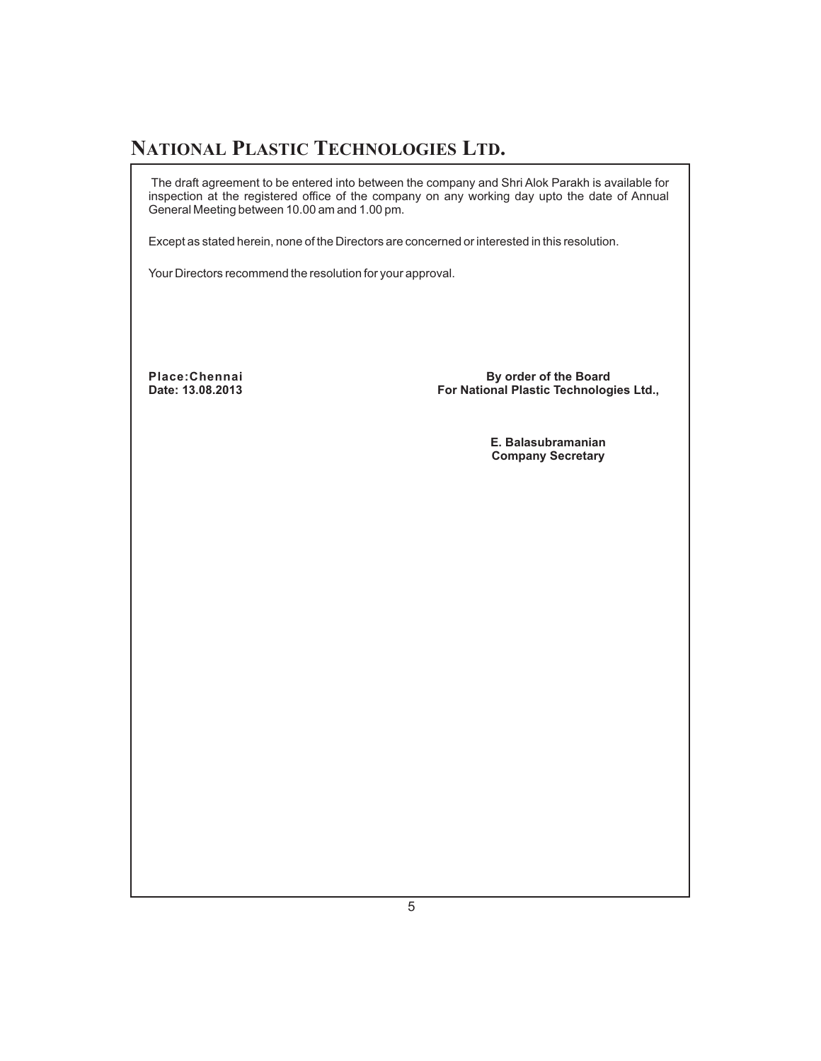The draft agreement to be entered into between the company and Shri Alok Parakh is available for inspection at the registered office of the company on any working day upto the date of Annual General Meeting between 10.00 am and 1.00 pm.

Except as stated herein, none of the Directors are concerned or interested in this resolution.

Your Directors recommend the resolution for your approval.

**Place:Chennai Date: 13.08.2013**

**By order of the Board For National Plastic Technologies Ltd.,**

> **E. Balasubramanian Company Secretary**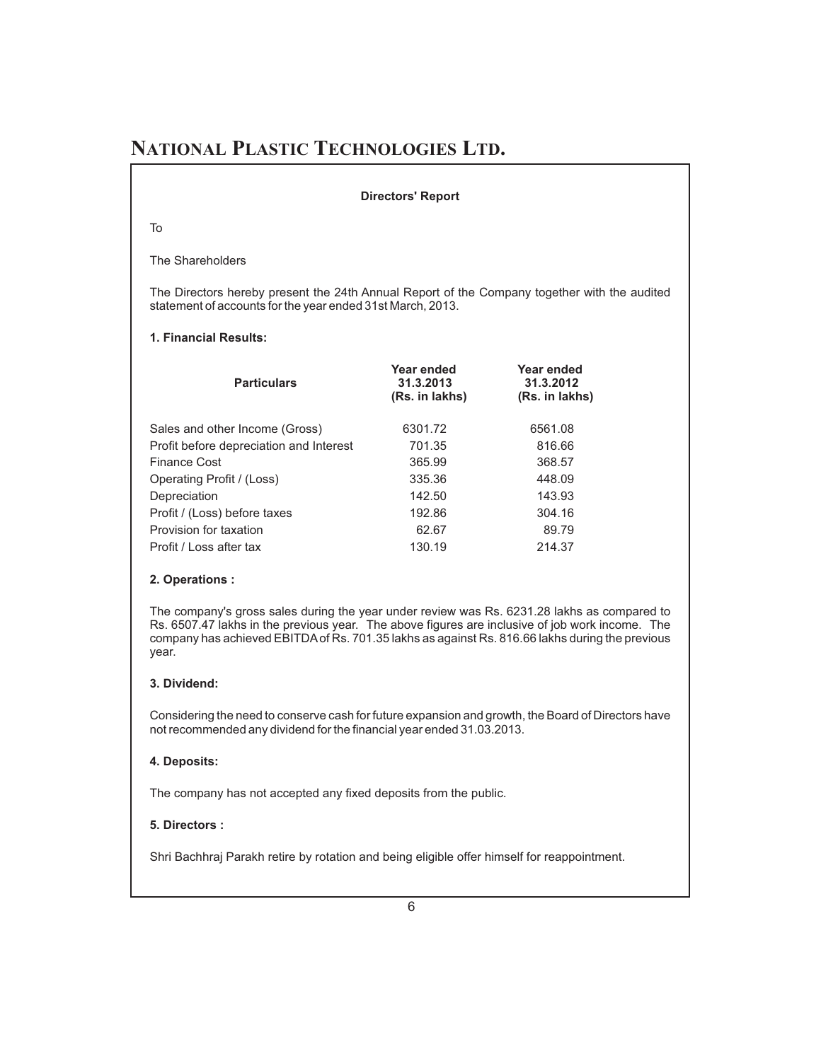#### **Directors' Report**

To

The Shareholders

The Directors hereby present the 24th Annual Report of the Company together with the audited statement of accounts for the year ended 31st March, 2013.

#### **1. Financial Results:**

| <b>Particulars</b>                      | Year ended<br>31.3.2013<br>(Rs. in lakhs) | Year ended<br>31.3.2012<br>(Rs. in lakhs) |  |
|-----------------------------------------|-------------------------------------------|-------------------------------------------|--|
| Sales and other Income (Gross)          | 6301.72                                   | 6561.08                                   |  |
| Profit before depreciation and Interest | 701.35                                    | 816.66                                    |  |
| Finance Cost                            | 365.99                                    | 368.57                                    |  |
| Operating Profit / (Loss)               | 335.36                                    | 448.09                                    |  |
| Depreciation                            | 142.50                                    | 143.93                                    |  |
| Profit / (Loss) before taxes            | 192.86                                    | 304.16                                    |  |
| Provision for taxation                  | 62.67                                     | 89.79                                     |  |
| Profit / Loss after tax                 | 130.19                                    | 214.37                                    |  |

#### **2. Operations :**

The company's gross sales during the year under review was Rs. 6231.28 lakhs as compared to Rs. 6507.47 lakhs in the previous year. The above figures are inclusive of job work income. The company has achieved EBITDAof Rs. 701.35 lakhs as against Rs. 816.66 lakhs during the previous year.

#### **3. Dividend:**

Considering the need to conserve cash for future expansion and growth, the Board of Directors have not recommended any dividend for the financial year ended 31.03.2013.

#### **4. Deposits:**

The company has not accepted any fixed deposits from the public.

#### **5. Directors :**

Shri Bachhraj Parakh retire by rotation and being eligible offer himself for reappointment.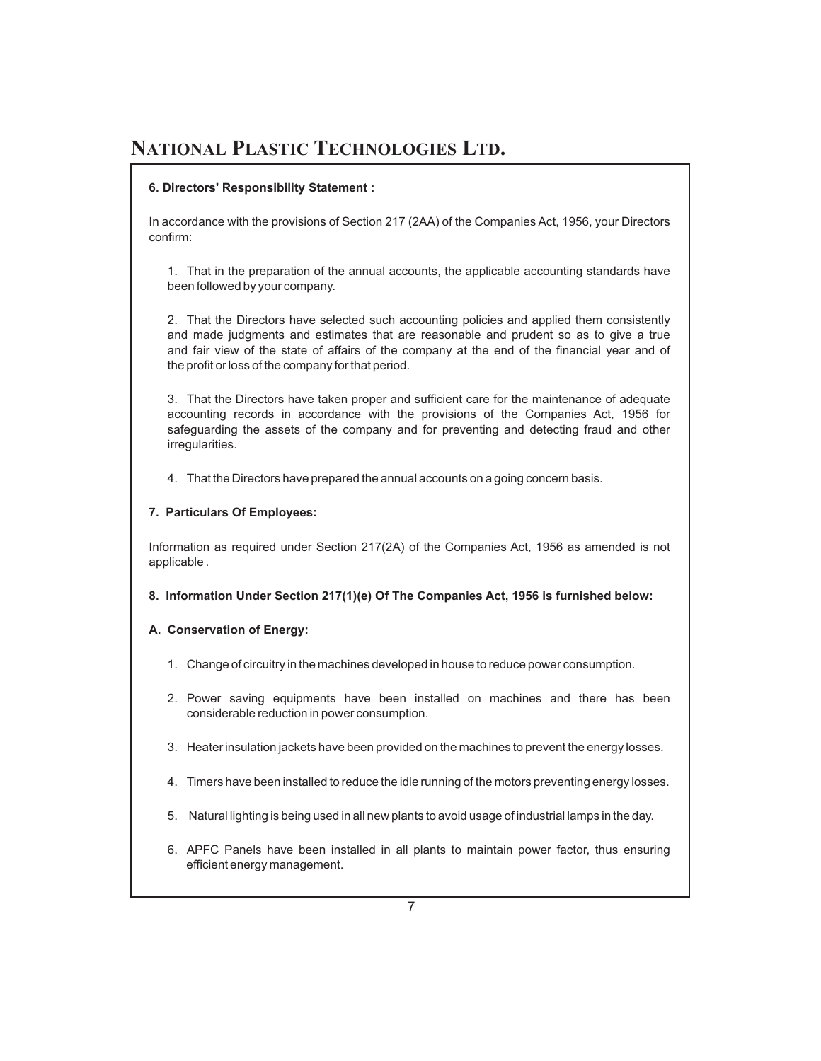#### **6. Directors' Responsibility Statement :**

In accordance with the provisions of Section 217 (2AA) of the Companies Act, 1956, your Directors confirm:

1. That in the preparation of the annual accounts, the applicable accounting standards have been followed by your company.

2. That the Directors have selected such accounting policies and applied them consistently and made judgments and estimates that are reasonable and prudent so as to give a true and fair view of the state of affairs of the company at the end of the financial year and of the profit or loss of the company for that period.

3. That the Directors have taken proper and sufficient care for the maintenance of adequate accounting records in accordance with the provisions of the Companies Act, 1956 for safeguarding the assets of the company and for preventing and detecting fraud and other irregularities.

4. That the Directors have prepared the annual accounts on a going concern basis.

#### **7. Particulars Of Employees:**

Information as required under Section 217(2A) of the Companies Act, 1956 as amended is not applicable .

**8. Information Under Section 217(1)(e) Of The Companies Act, 1956 is furnished below:**

#### **A. Conservation of Energy:**

- 1. Change of circuitry in the machines developed in house to reduce power consumption.
- 2. Power saving equipments have been installed on machines and there has been considerable reduction in power consumption.
- 3. Heater insulation jackets have been provided on the machines to prevent the energy losses.
- 4. Timers have been installed to reduce the idle running of the motors preventing energy losses.
- 5. Natural lighting is being used in all new plants to avoid usage of industrial lamps in the day.
- 6. APFC Panels have been installed in all plants to maintain power factor, thus ensuring efficient energy management.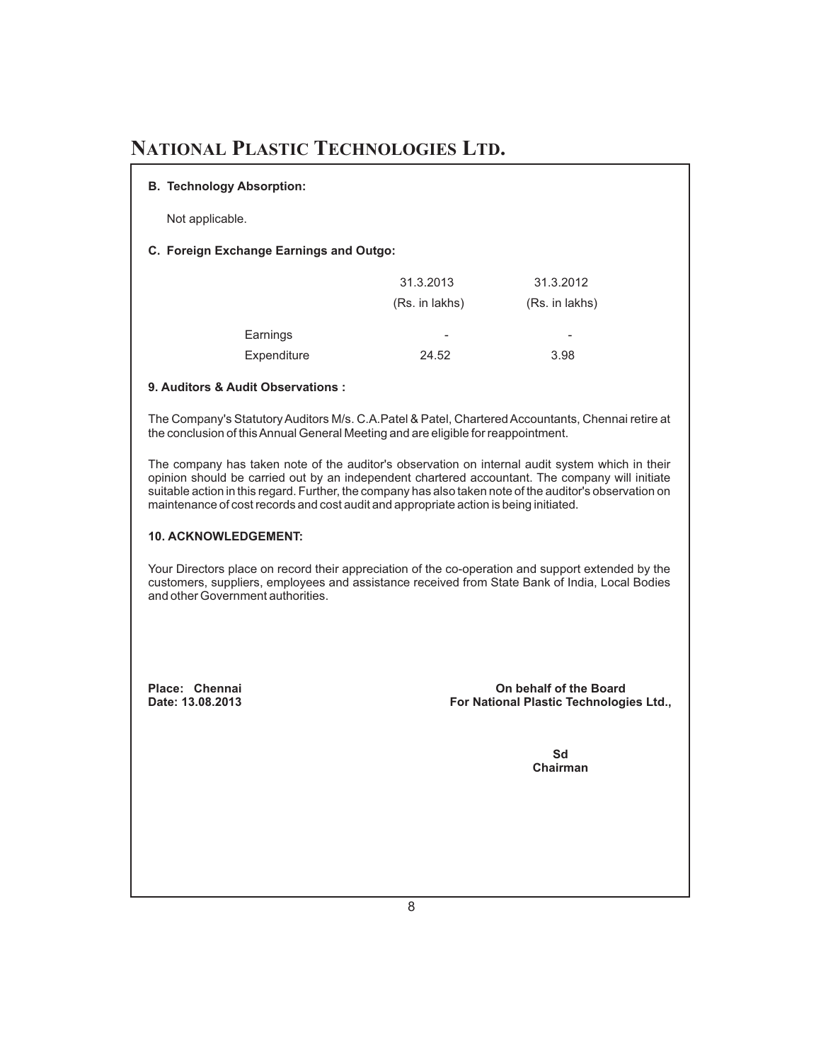#### **B. Technology Absorption:**

Not applicable.

#### **C. Foreign Exchange Earnings and Outgo:**

|             | 31.3.2013                | 31.3.2012                |
|-------------|--------------------------|--------------------------|
|             | (Rs. in lakhs)           | (Rs. in lakhs)           |
| Earnings    | $\overline{\phantom{a}}$ | $\overline{\phantom{a}}$ |
| Expenditure | 24.52                    | 3.98                     |

#### **9. Auditors & Audit Observations :**

The Company's Statutory Auditors M/s. C.A.Patel & Patel, Chartered Accountants, Chennai retire at the conclusion of thisAnnual General Meeting and are eligible for reappointment.

The company has taken note of the auditor's observation on internal audit system which in their opinion should be carried out by an independent chartered accountant. The company will initiate suitable action in this regard. Further, the company has also taken note of the auditor's observation on maintenance of cost records and cost audit and appropriate action is being initiated.

#### **10. ACKNOWLEDGEMENT:**

Your Directors place on record their appreciation of the co-operation and support extended by the customers, suppliers, employees and assistance received from State Bank of India, Local Bodies and other Government authorities.

**Place: Chennai Date: 13.08.2013**

**On behalf of the Board For National Plastic Technologies Ltd.,**

> **Sd Chairman**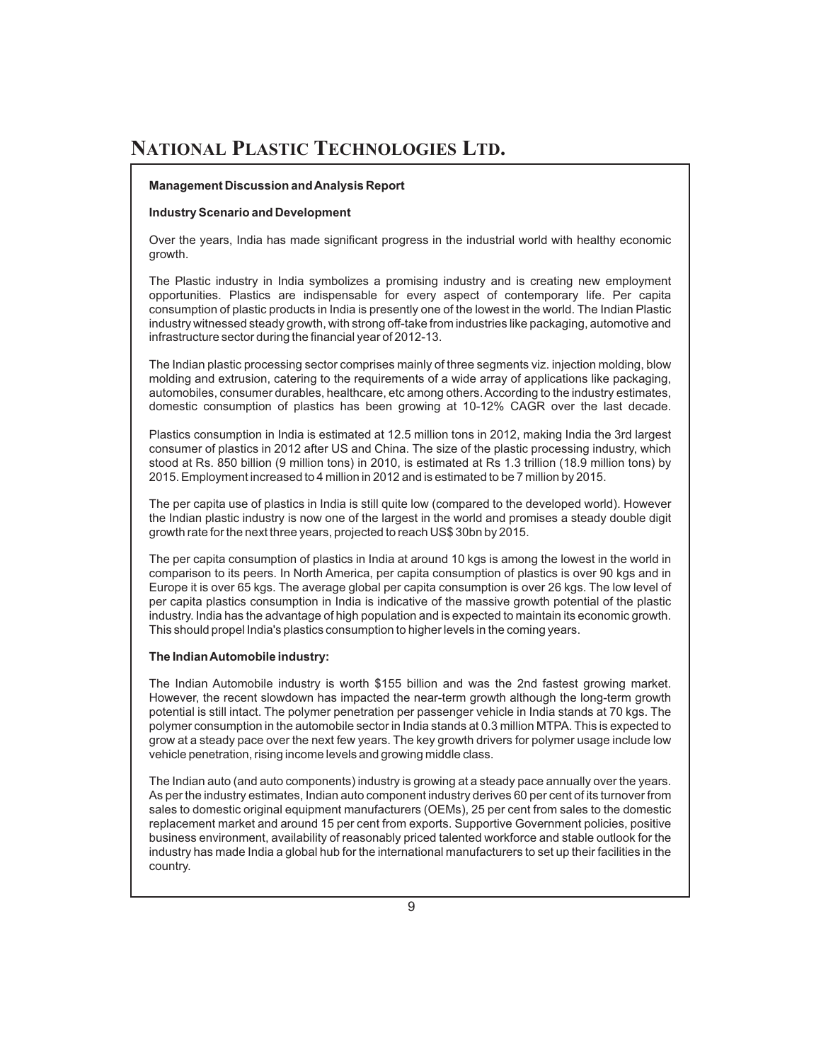#### **Management Discussion andAnalysis Report**

#### **Industry Scenario and Development**

Over the years, India has made significant progress in the industrial world with healthy economic growth.

The Plastic industry in India symbolizes a promising industry and is creating new employment opportunities. Plastics are indispensable for every aspect of contemporary life. Per capita consumption of plastic products in India is presently one of the lowest in the world. The Indian Plastic industry witnessed steady growth, with strong off-take from industries like packaging, automotive and infrastructure sector during the financial year of 2012-13.

The Indian plastic processing sector comprises mainly of three segments viz. injection molding, blow molding and extrusion, catering to the requirements of a wide array of applications like packaging, automobiles, consumer durables, healthcare, etc among others.According to the industry estimates, domestic consumption of plastics has been growing at 10-12% CAGR over the last decade.

Plastics consumption in India is estimated at 12.5 million tons in 2012, making India the 3rd largest consumer of plastics in 2012 after US and China. The size of the plastic processing industry, which stood at Rs. 850 billion (9 million tons) in 2010, is estimated at Rs 1.3 trillion (18.9 million tons) by 2015. Employment increased to 4 million in 2012 and is estimated to be 7 million by 2015.

The per capita use of plastics in India is still quite low (compared to the developed world). However the Indian plastic industry is now one of the largest in the world and promises a steady double digit growth rate for the next three years, projected to reach US\$ 30bn by 2015.

The per capita consumption of plastics in India at around 10 kgs is among the lowest in the world in comparison to its peers. In North America, per capita consumption of plastics is over 90 kgs and in Europe it is over 65 kgs. The average global per capita consumption is over 26 kgs. The low level of per capita plastics consumption in India is indicative of the massive growth potential of the plastic industry. India has the advantage of high population and is expected to maintain its economic growth. This should propel India's plastics consumption to higher levels in the coming years.

#### **The IndianAutomobile industry:**

The Indian Automobile industry is worth \$155 billion and was the 2nd fastest growing market. However, the recent slowdown has impacted the near-term growth although the long-term growth potential is still intact. The polymer penetration per passenger vehicle in India stands at 70 kgs. The polymer consumption in the automobile sector in India stands at 0.3 million MTPA. This is expected to grow at a steady pace over the next few years. The key growth drivers for polymer usage include low vehicle penetration, rising income levels and growing middle class.

The Indian auto (and auto components) industry is growing at a steady pace annually over the years. As per the industry estimates, Indian auto component industry derives 60 per cent of its turnover from sales to domestic original equipment manufacturers (OEMs), 25 per cent from sales to the domestic replacement market and around 15 per cent from exports. Supportive Government policies, positive business environment, availability of reasonably priced talented workforce and stable outlook for the industry has made India a global hub for the international manufacturers to set up their facilities in the country.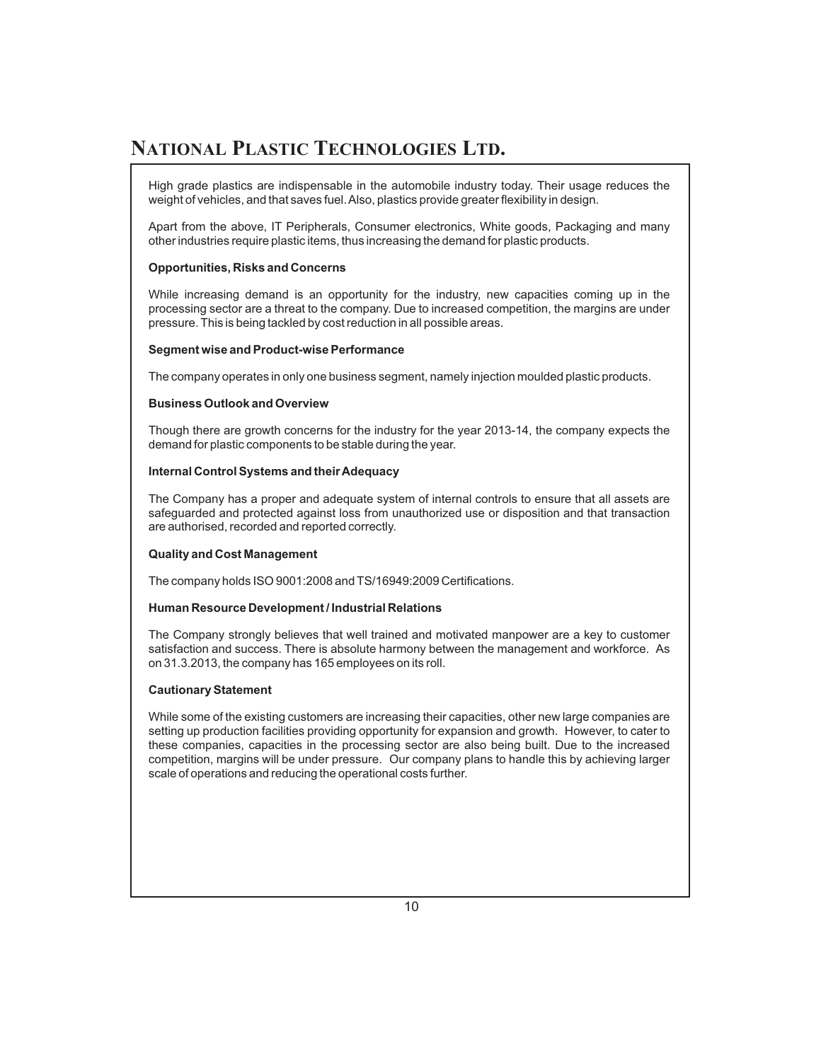High grade plastics are indispensable in the automobile industry today. Their usage reduces the weight of vehicles, and that saves fuel.Also, plastics provide greater flexibility in design.

Apart from the above, IT Peripherals, Consumer electronics, White goods, Packaging and many other industries require plastic items, thus increasing the demand for plastic products.

#### **Opportunities, Risks and Concerns**

While increasing demand is an opportunity for the industry, new capacities coming up in the processing sector are a threat to the company. Due to increased competition, the margins are under pressure. This is being tackled by cost reduction in all possible areas.

#### **Segment wise and Product-wise Performance**

The company operates in only one business segment, namely injection moulded plastic products.

#### **Business Outlook and Overview**

Though there are growth concerns for the industry for the year 2013-14, the company expects the demand for plastic components to be stable during the year.

#### **Internal Control Systems and theirAdequacy**

The Company has a proper and adequate system of internal controls to ensure that all assets are safeguarded and protected against loss from unauthorized use or disposition and that transaction are authorised, recorded and reported correctly.

#### **Quality and Cost Management**

The company holds ISO 9001:2008 and TS/16949:2009 Certifications.

#### **Human Resource Development / Industrial Relations**

The Company strongly believes that well trained and motivated manpower are a key to customer satisfaction and success. There is absolute harmony between the management and workforce. As on 31.3.2013, the company has 165 employees on its roll.

#### **Cautionary Statement**

While some of the existing customers are increasing their capacities, other new large companies are setting up production facilities providing opportunity for expansion and growth. However, to cater to these companies, capacities in the processing sector are also being built. Due to the increased competition, margins will be under pressure. Our company plans to handle this by achieving larger scale of operations and reducing the operational costs further.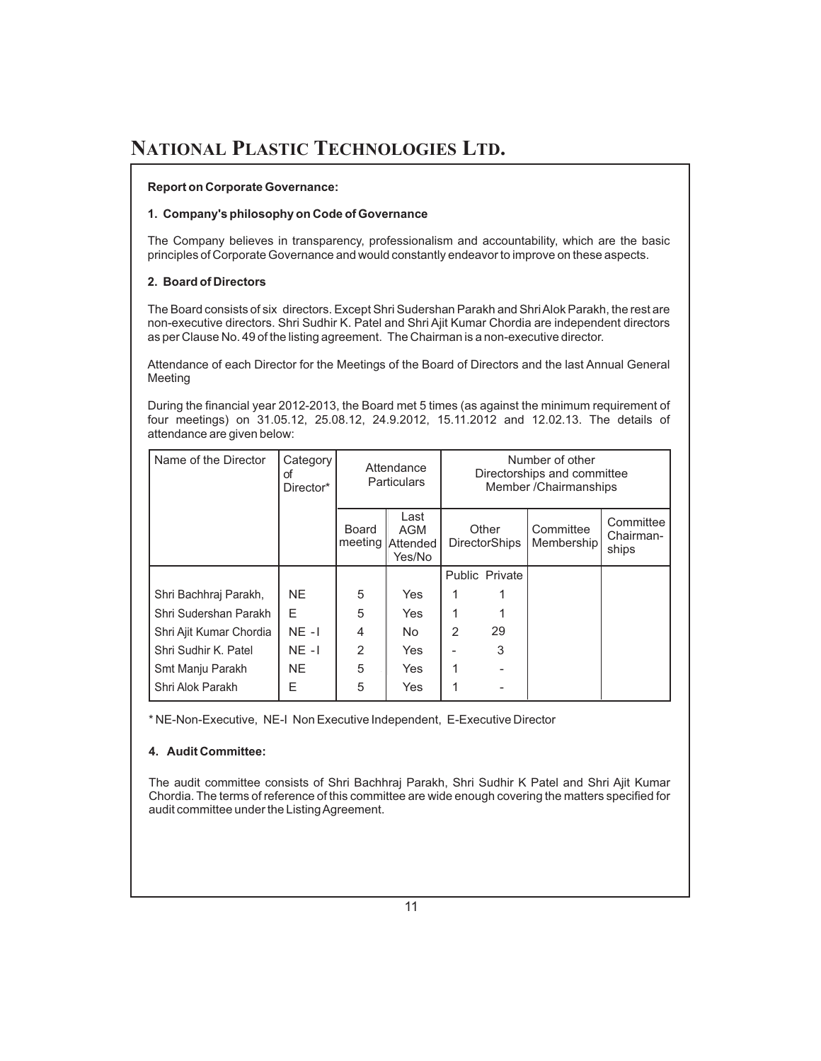#### **Report on Corporate Governance:**

#### **1. Company's philosophy on Code of Governance**

The Company believes in transparency, professionalism and accountability, which are the basic principles of Corporate Governance and would constantly endeavor to improve on these aspects.

#### **2. Board of Directors**

The Board consists of six directors. Except Shri Sudershan Parakh and Shri Alok Parakh, the rest are non-executive directors. Shri Sudhir K. Patel and Shri Ajit Kumar Chordia are independent directors as per Clause No. 49 of the listing agreement. The Chairman is a non-executive director.

Attendance of each Director for the Meetings of the Board of Directors and the last Annual General Meeting

During the financial year 2012-2013, the Board met 5 times (as against the minimum requirement of four meetings) on 31.05.12, 25.08.12, 24.9.2012, 15.11.2012 and 12.02.13. The details of attendance are given below:

| Name of the Director    | Category<br>οf<br>Director* | Attendance<br><b>Particulars</b> |                                           |               |                               | Number of other<br>Directorships and committee<br>Member / Chairmanships |                                 |
|-------------------------|-----------------------------|----------------------------------|-------------------------------------------|---------------|-------------------------------|--------------------------------------------------------------------------|---------------------------------|
|                         |                             | Board                            | Last<br>AGM<br>meeting Attended<br>Yes/No |               | Other<br><b>DirectorShips</b> | Committee<br>Membership                                                  | Committee<br>Chairman-<br>ships |
|                         |                             |                                  |                                           |               | Public Private                |                                                                          |                                 |
| Shri Bachhraj Parakh,   | NE.                         | 5                                | Yes                                       |               |                               |                                                                          |                                 |
| Shri Sudershan Parakh   | F                           | 5                                | Yes                                       |               |                               |                                                                          |                                 |
| Shri Ajit Kumar Chordia | $NE - I$                    | 4                                | No.                                       | $\mathcal{P}$ | 29                            |                                                                          |                                 |
| Shri Sudhir K. Patel    | $NE - I$                    | $\overline{2}$                   | Yes                                       |               | 3                             |                                                                          |                                 |
| Smt Manju Parakh        | NE.                         | 5                                | Yes                                       |               |                               |                                                                          |                                 |
| Shri Alok Parakh        | Е                           | 5                                | Yes                                       |               |                               |                                                                          |                                 |

\* NE-Non-Executive, NE-I Non Executive Independent, E-Executive Director

#### **4. Audit Committee:**

The audit committee consists of Shri Bachhraj Parakh, Shri Sudhir K Patel and Shri Ajit Kumar Chordia. The terms of reference of this committee are wide enough covering the matters specified for audit committee under the ListingAgreement.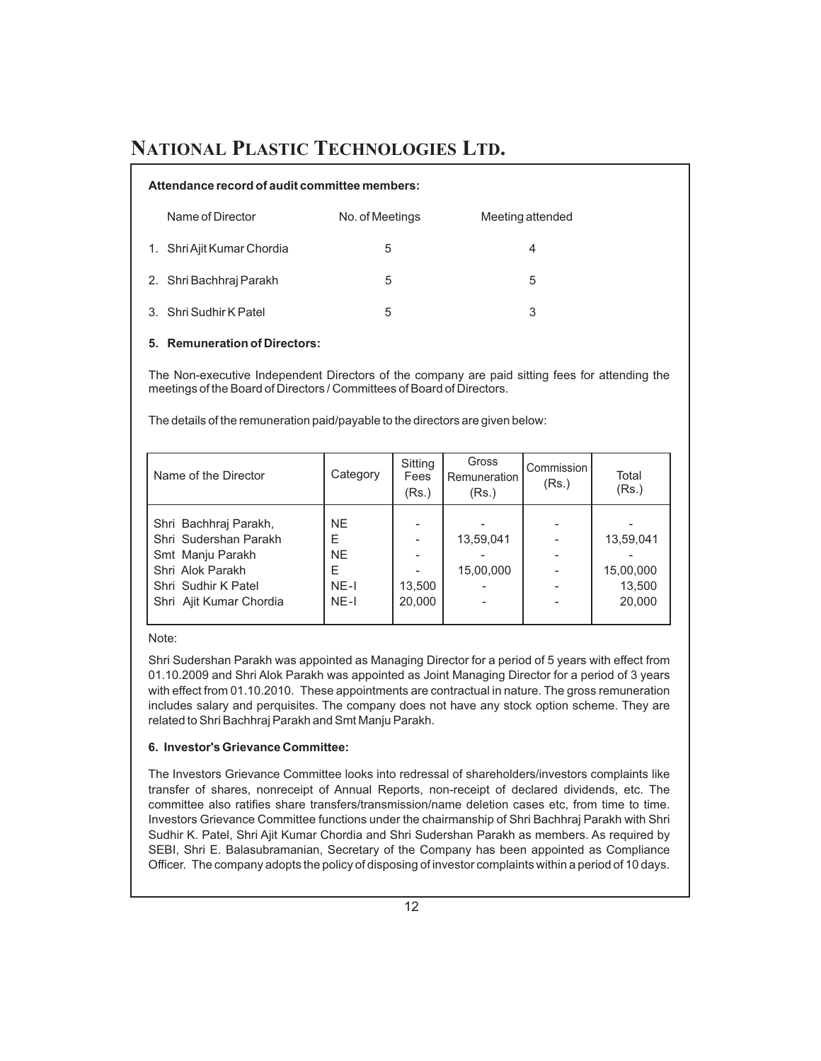#### **Attendance record of audit committee members:**

| Name of Director           | No. of Meetings | Meeting attended |
|----------------------------|-----------------|------------------|
| 1. Shri Ajit Kumar Chordia | 5               | 4                |
| 2. Shri Bachhraj Parakh    | 5               | 5                |
| 3. Shri Sudhir K Patel     | 5               | 3                |

#### **5. Remuneration of Directors:**

The Non-executive Independent Directors of the company are paid sitting fees for attending the meetings of the Board of Directors / Committees of Board of Directors.

The details of the remuneration paid/payable to the directors are given below:

| Name of the Director                                                                                                                     | Category                                             | Sitting<br>Fees<br>(Rs.) | Gross<br>Remuneration<br>(Rs.) | Commission I<br>(Rs.) | Total<br>(Rs.)                             |
|------------------------------------------------------------------------------------------------------------------------------------------|------------------------------------------------------|--------------------------|--------------------------------|-----------------------|--------------------------------------------|
| Shri Bachhraj Parakh,<br>Shri Sudershan Parakh<br>Smt Manju Parakh<br>Shri Alok Parakh<br>Shri Sudhir K Patel<br>Shri Ajit Kumar Chordia | <b>NE</b><br>E<br><b>NE</b><br>Е<br>$NE-I$<br>$NE-I$ | 13,500<br>20,000         | 13,59,041<br>15,00,000         |                       | 13,59,041<br>15,00,000<br>13,500<br>20,000 |

Note:

Shri Sudershan Parakh was appointed as Managing Director for a period of 5 years with effect from 01.10.2009 and Shri Alok Parakh was appointed as Joint Managing Director for a period of 3 years with effect from 01.10.2010. These appointments are contractual in nature. The gross remuneration includes salary and perquisites. The company does not have any stock option scheme. They are related to Shri Bachhraj Parakh and Smt Manju Parakh.

#### **6. Investor's Grievance Committee:**

The Investors Grievance Committee looks into redressal of shareholders/investors complaints like transfer of shares, nonreceipt of Annual Reports, non-receipt of declared dividends, etc. The committee also ratifies share transfers/transmission/name deletion cases etc, from time to time. Investors Grievance Committee functions under the chairmanship of Shri Bachhraj Parakh with Shri Sudhir K. Patel, Shri Ajit Kumar Chordia and Shri Sudershan Parakh as members. As required by SEBI, Shri E. Balasubramanian, Secretary of the Company has been appointed as Compliance Officer. The company adopts the policy of disposing of investor complaints within a period of 10 days.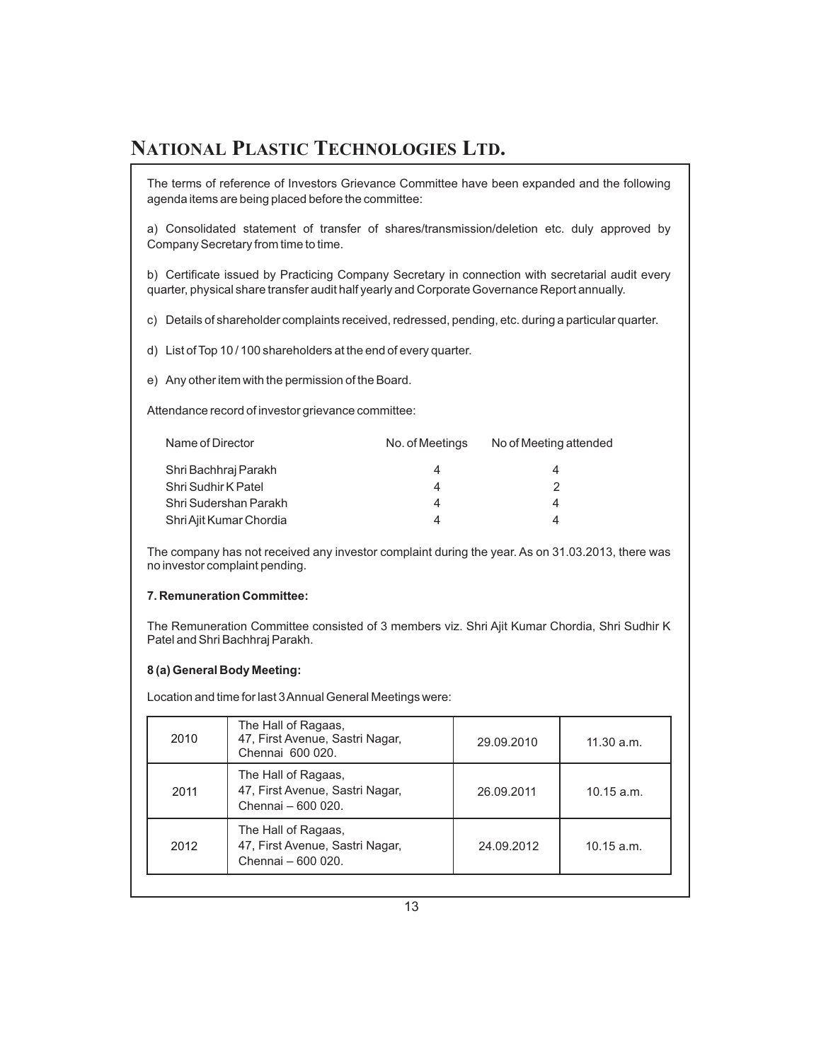The terms of reference of Investors Grievance Committee have been expanded and the following agenda items are being placed before the committee:

a) Consolidated statement of transfer of shares/transmission/deletion etc. duly approved by Company Secretary from time to time.

b) Certificate issued by Practicing Company Secretary in connection with secretarial audit every quarter, physical share transfer audit half yearly and Corporate Governance Report annually.

c) Details of shareholder complaints received, redressed, pending, etc. during a particular quarter.

d) List of Top 10 / 100 shareholders at the end of every quarter.

e) Any other item with the permission of the Board.

Attendance record of investor grievance committee:

| Name of Director        | No. of Meetings | No of Meeting attended |
|-------------------------|-----------------|------------------------|
| Shri Bachhraj Parakh    | 4               |                        |
| Shri Sudhir K Patel     |                 |                        |
| Shri Sudershan Parakh   |                 |                        |
| Shri Ajit Kumar Chordia |                 |                        |

The company has not received any investor complaint during the year. As on 31.03.2013, there was no investor complaint pending.

#### **7. Remuneration Committee:**

The Remuneration Committee consisted of 3 members viz. Shri Ajit Kumar Chordia, Shri Sudhir K Patel and Shri Bachhraj Parakh.

#### **8 (a) General Body Meeting:**

Location and time for last 3Annual General Meetings were:

| 2010 | The Hall of Ragaas,<br>47, First Avenue, Sastri Nagar,<br>Chennai 600 020.   | 29.09.2010 | 11.30 a.m.   |
|------|------------------------------------------------------------------------------|------------|--------------|
| 2011 | The Hall of Ragaas,<br>47, First Avenue, Sastri Nagar,<br>Chennai - 600 020. | 26.09.2011 | $10.15$ a.m. |
| 2012 | The Hall of Ragaas,<br>47, First Avenue, Sastri Nagar,<br>Chennai - 600 020. | 24.09.2012 | $10.15$ a.m. |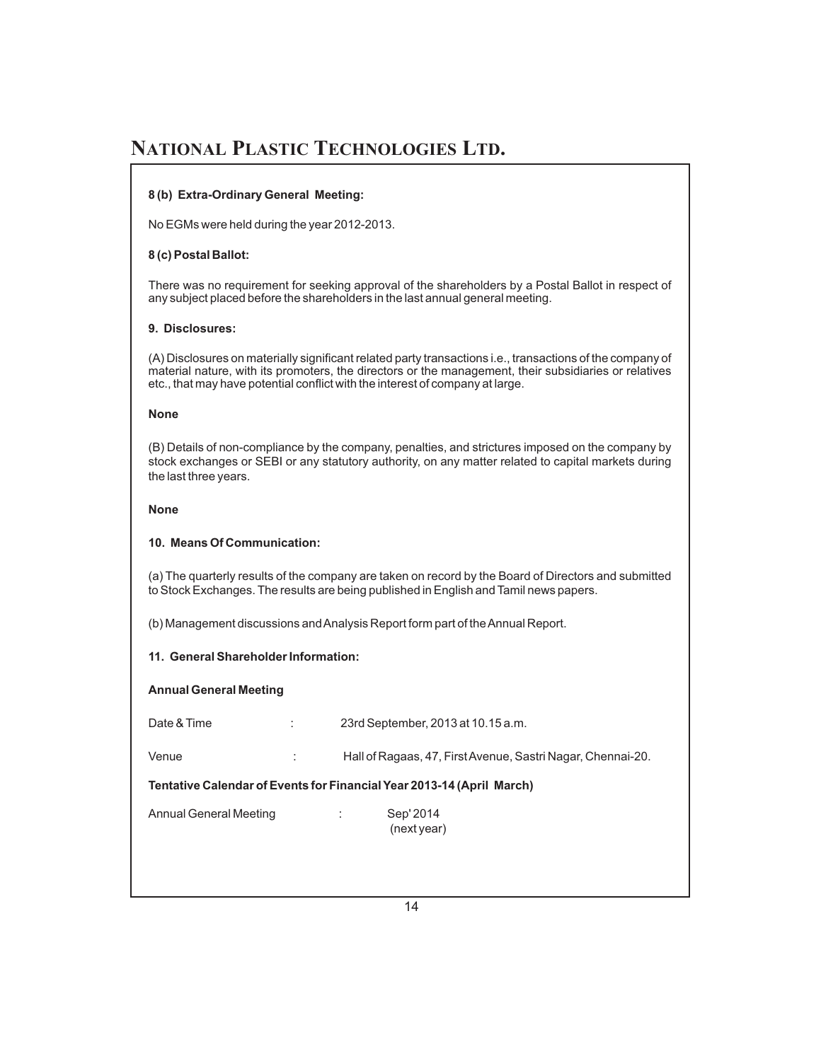#### **8 (b) Extra-Ordinary General Meeting:**

No EGMs were held during the year 2012-2013.

#### **8 (c) Postal Ballot:**

There was no requirement for seeking approval of the shareholders by a Postal Ballot in respect of any subject placed before the shareholders in the last annual general meeting.

#### **9. Disclosures:**

(A) Disclosures on materially significant related party transactions i.e., transactions of the company of material nature, with its promoters, the directors or the management, their subsidiaries or relatives etc., that may have potential conflict with the interest of company at large.

#### **None**

(B) Details of non-compliance by the company, penalties, and strictures imposed on the company by stock exchanges or SEBI or any statutory authority, on any matter related to capital markets during the last three years.

#### **None**

#### **10. Means Of Communication:**

(a) The quarterly results of the company are taken on record by the Board of Directors and submitted to Stock Exchanges. The results are being published in English and Tamil news papers.

(b) Management discussions andAnalysis Report form part of theAnnual Report.

#### **11. General Shareholder Information:**

#### **Annual General Meeting**

| Date & Time            | ٠<br>$\ddot{\phantom{a}}$ | 23rd September, 2013 at 10.15 a.m.                                    |
|------------------------|---------------------------|-----------------------------------------------------------------------|
| Venue                  |                           | Hall of Ragaas, 47, First Avenue, Sastri Nagar, Chennai-20.           |
|                        |                           | Tentative Calendar of Events for Financial Year 2013-14 (April March) |
| Annual General Meeting |                           | Sep' 2014<br>÷<br>(next year)                                         |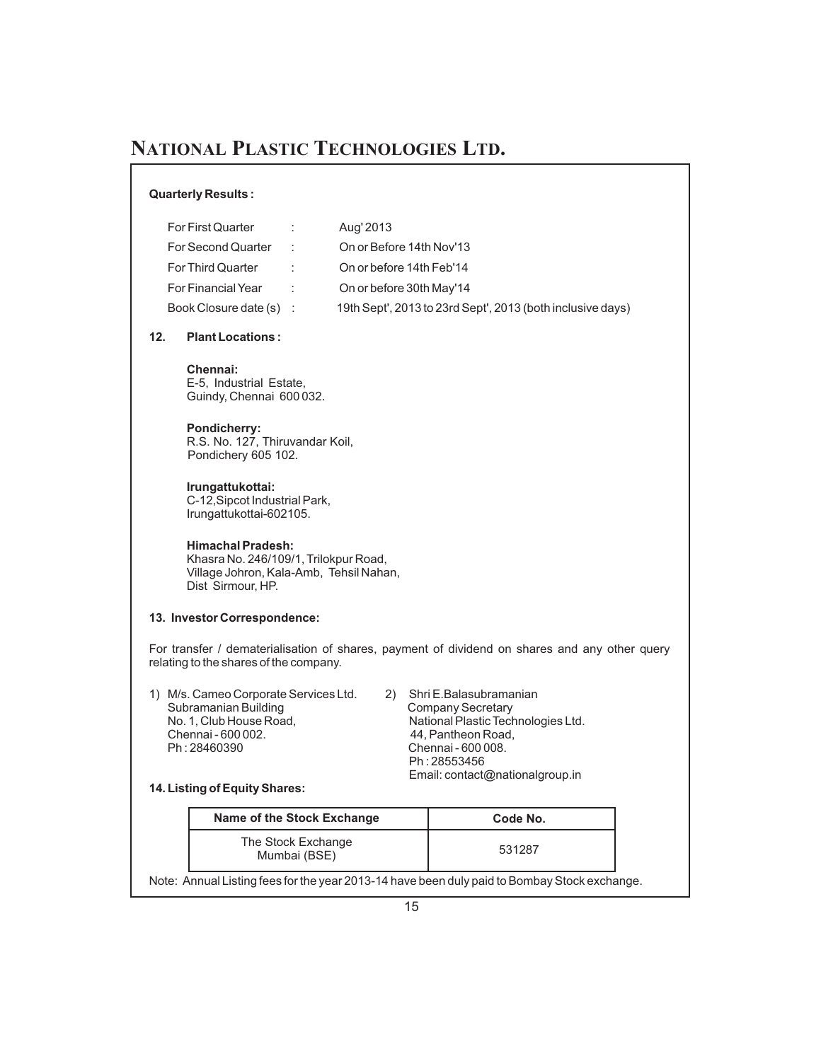#### **Quarterly Results :**

| For First Quarter         | $\sim 100$     | Aug' 2013                                                  |
|---------------------------|----------------|------------------------------------------------------------|
| For Second Quarter        | $\mathbb{R}^n$ | On or Before 14th Nov'13                                   |
| For Third Quarter         | ÷.             | On or before 14th Feb'14                                   |
| <b>For Financial Year</b> | $\sim 100$     | On or before 30th May'14                                   |
| Book Closure date (s) :   |                | 19th Sept', 2013 to 23rd Sept', 2013 (both inclusive days) |

#### **12. Plant Locations :**

**Chennai:** E-5, Industrial Estate, Guindy, Chennai 600 032.

## **Pondicherry:**

R.S. No. 127, Thiruvandar Koil, Pondichery 605 102.

#### **Irungattukottai:**

C-12,Sipcot Industrial Park, Irungattukottai-602105.

#### **Himachal Pradesh:**

Khasra No. 246/109/1, Trilokpur Road, Village Johron, Kala-Amb, Tehsil Nahan, Dist Sirmour, HP.

#### **13. Investor Correspondence:**

For transfer / dematerialisation of shares, payment of dividend on shares and any other query relating to the shares of the company.

- 1) M/s. Cameo Corporate Services Ltd. 2) Shri E.Balasubramanian Subramanian Building<br>No. 1, Club House Road, Chennai - 600 002.<br>
Ph: 28460390 **1990 11:28460390** 11:48:490 10:48:490 10:48:490 10:48:490 10:48:49
	- National Plastic Technologies Ltd. Chennai - 600 008. Ph : 28553456 Email: contact@nationalgroup.in

#### **14. Listing of Equity Shares:**

| Name of the Stock Exchange         | Code No. |
|------------------------------------|----------|
| The Stock Exchange<br>Mumbai (BSE) | 531287   |

Note: Annual Listing fees for the year 2013-14 have been duly paid to Bombay Stock exchange.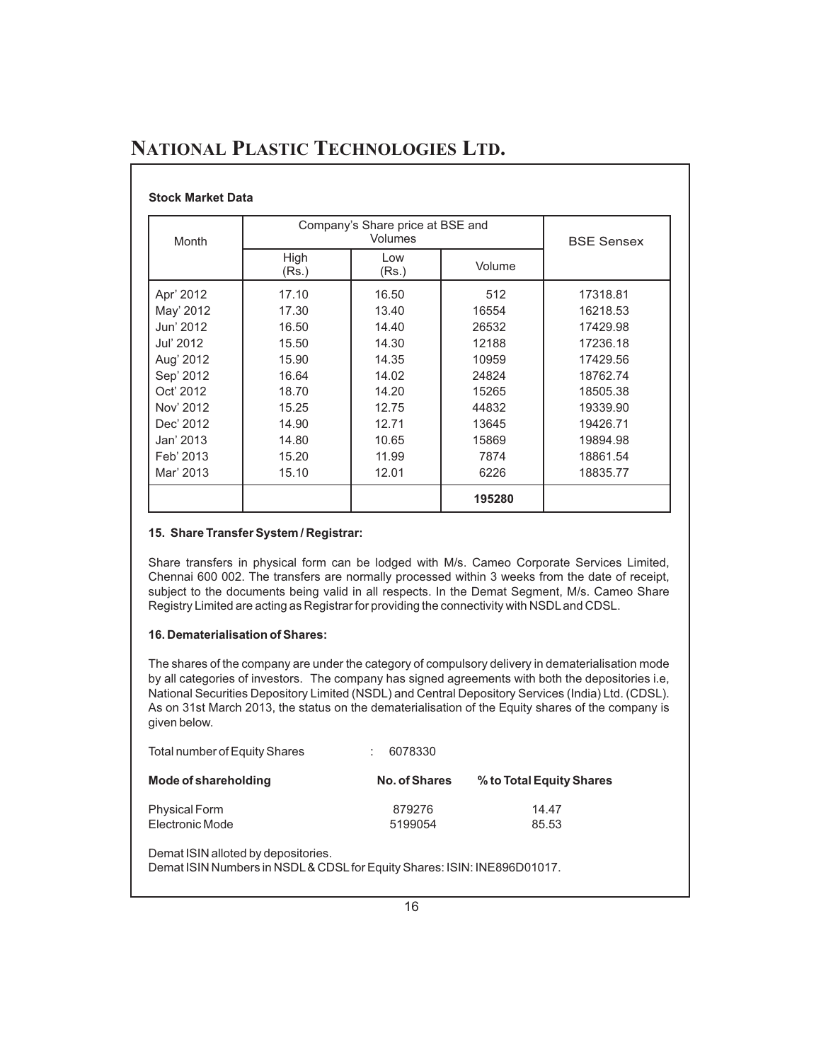#### **Stock Market Data**

| <b>Month</b> | Company's Share price at BSE and | <b>BSE Sensex</b> |        |          |
|--------------|----------------------------------|-------------------|--------|----------|
|              | High<br>(Rs.)                    | Low<br>(Rs.)      | Volume |          |
| Apr' 2012    | 17.10                            | 16.50             | 512    | 17318.81 |
| May' 2012    | 17.30                            | 13.40             | 16554  | 16218.53 |
| Jun' 2012    | 16.50                            | 14.40             | 26532  | 17429.98 |
| Jul' 2012    | 15.50                            | 14.30             | 12188  | 17236.18 |
| Aug' 2012    | 15.90                            | 14.35             | 10959  | 17429.56 |
| Sep' 2012    | 16.64                            | 14.02             | 24824  | 18762.74 |
| Oct' 2012    | 18.70                            | 14.20             | 15265  | 18505.38 |
| Nov' 2012    | 15.25                            | 12.75             | 44832  | 19339.90 |
| Dec' 2012    | 14.90                            | 12.71             | 13645  | 19426.71 |
| Jan' 2013    | 14.80                            | 10.65             | 15869  | 19894.98 |
| Feb' 2013    | 15.20                            | 11.99             | 7874   | 18861.54 |
| Mar' 2013    | 15.10                            | 12.01             | 6226   | 18835.77 |
|              |                                  |                   | 195280 |          |

#### **15. Share Transfer System / Registrar:**

Share transfers in physical form can be lodged with M/s. Cameo Corporate Services Limited, Chennai 600 002. The transfers are normally processed within 3 weeks from the date of receipt, subject to the documents being valid in all respects. In the Demat Segment, M/s. Cameo Share Registry Limited are acting as Registrar for providing the connectivity with NSDLand CDSL.

#### **16. Dematerialisation of Shares:**

The shares of the company are under the category of compulsory delivery in dematerialisation mode by all categories of investors. The company has signed agreements with both the depositories i.e, National Securities Depository Limited (NSDL) and Central Depository Services (India) Ltd. (CDSL). As on 31st March 2013, the status on the dematerialisation of the Equity shares of the company is given below.

| Total number of Equity Shares | 6078330       |                          |
|-------------------------------|---------------|--------------------------|
| Mode of shareholding          | No. of Shares | % to Total Equity Shares |
| <b>Physical Form</b>          | 879276        | 14.47                    |
| Electronic Mode               | 5199054       | 85.53                    |

Demat ISIN alloted by depositories.

Demat ISIN Numbers in NSDL& CDSLfor Equity Shares: ISIN: INE896D01017.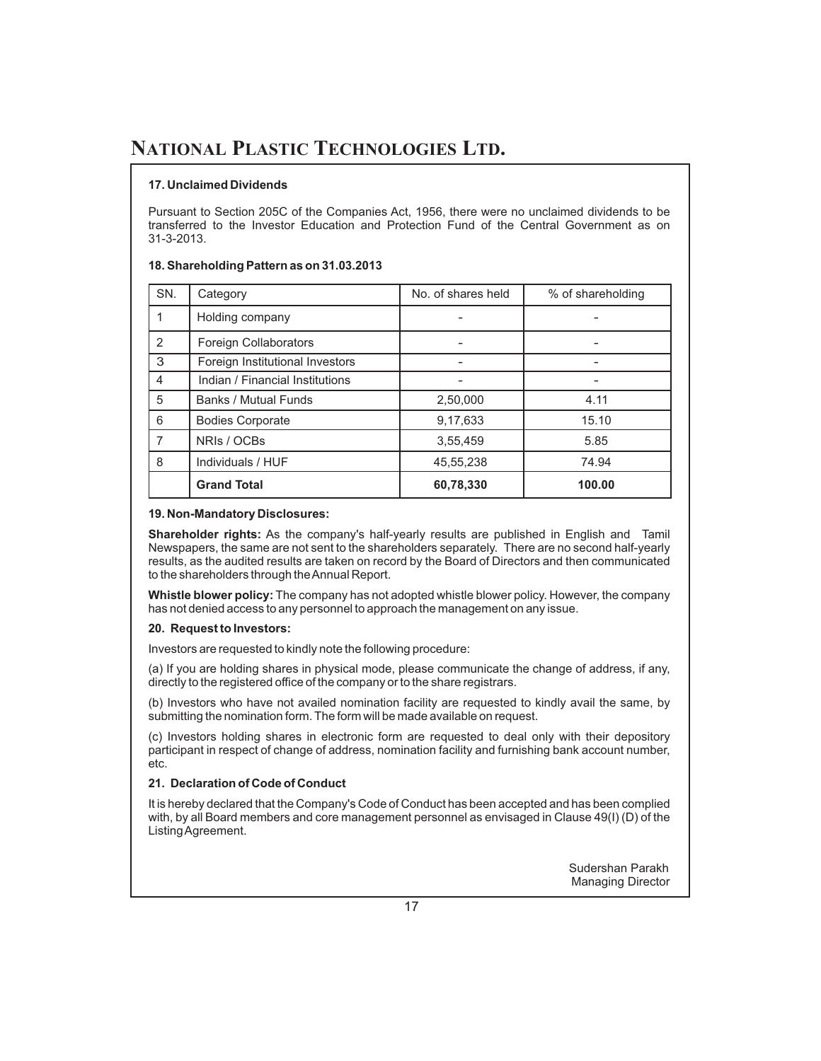#### **17. Unclaimed Dividends**

Pursuant to Section 205C of the Companies Act, 1956, there were no unclaimed dividends to be transferred to the Investor Education and Protection Fund of the Central Government as on 31-3-2013.

#### **18. Shareholding Pattern as on 31.03.2013**

| SN.           | Category                        | No. of shares held | % of shareholding |
|---------------|---------------------------------|--------------------|-------------------|
|               | Holding company                 |                    |                   |
| $\mathcal{P}$ | Foreign Collaborators           |                    |                   |
| 3             | Foreign Institutional Investors |                    |                   |
| 4             | Indian / Financial Institutions |                    |                   |
| 5             | <b>Banks / Mutual Funds</b>     | 2,50,000           | 4.11              |
| 6             | <b>Bodies Corporate</b>         | 9,17,633           | 15.10             |
| 7             | NRIs / OCBs                     | 3,55,459           | 5.85              |
| 8             | Individuals / HUF               | 45.55.238          | 74.94             |
|               | <b>Grand Total</b>              | 60,78,330          | 100.00            |

#### **19. Non-Mandatory Disclosures:**

**Shareholder rights:** As the company's half-yearly results are published in English and Tamil Newspapers, the same are not sent to the shareholders separately. There are no second half-yearly results, as the audited results are taken on record by the Board of Directors and then communicated to the shareholders through theAnnual Report.

**Whistle blower policy:** The company has not adopted whistle blower policy. However, the company has not denied access to any personnel to approach the management on any issue.

#### **20. Request to Investors:**

Investors are requested to kindly note the following procedure:

(a) If you are holding shares in physical mode, please communicate the change of address, if any, directly to the registered office of the company or to the share registrars.

(b) Investors who have not availed nomination facility are requested to kindly avail the same, by submitting the nomination form. The form will be made available on request.

(c) Investors holding shares in electronic form are requested to deal only with their depository participant in respect of change of address, nomination facility and furnishing bank account number, etc.

#### **21. Declaration of Code of Conduct**

It is hereby declared that the Company's Code of Conduct has been accepted and has been complied with, by all Board members and core management personnel as envisaged in Clause 49(I) (D) of the ListingAgreement.

> Sudershan Parakh Managing Director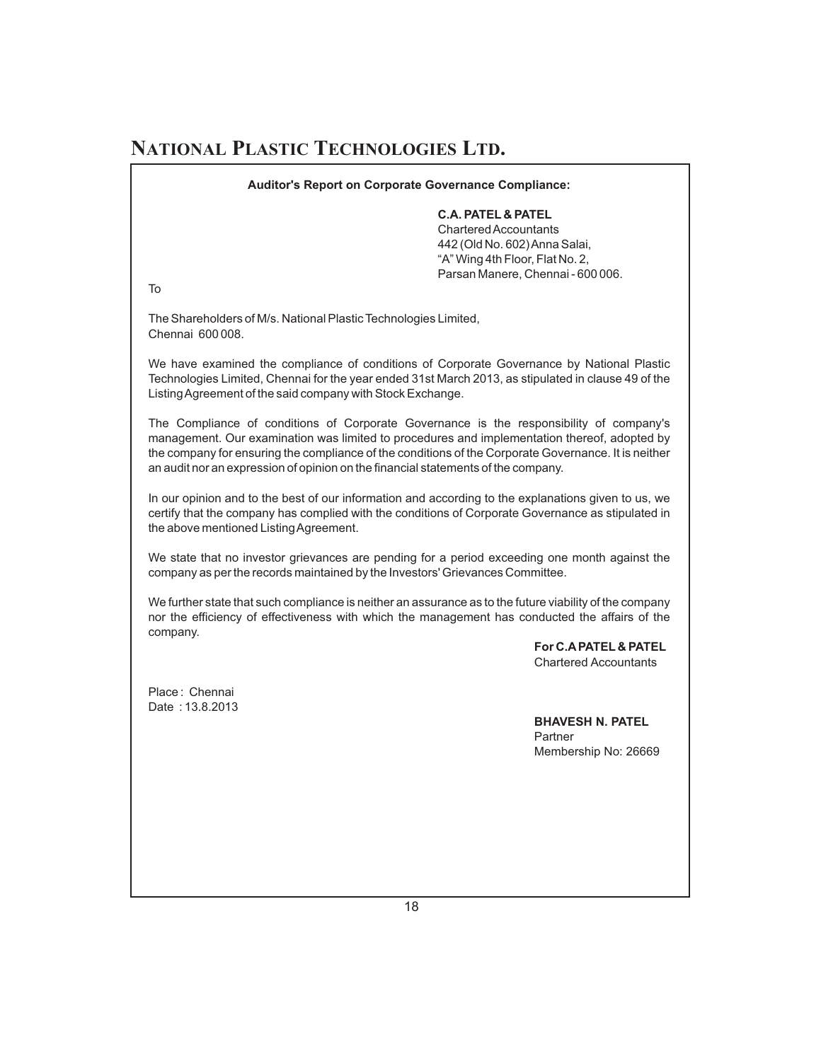**Auditor's Report on Corporate Governance Compliance:**

#### **C.A. PATEL & PATEL**

CharteredAccountants 442 (Old No. 602)Anna Salai, "A" Wing 4th Floor, Flat No. 2, Parsan Manere, Chennai - 600 006.

To

The Shareholders of M/s. National Plastic Technologies Limited, Chennai 600 008.

We have examined the compliance of conditions of Corporate Governance by National Plastic Technologies Limited, Chennai for the year ended 31st March 2013, as stipulated in clause 49 of the ListingAgreement of the said company with Stock Exchange.

The Compliance of conditions of Corporate Governance is the responsibility of company's management. Our examination was limited to procedures and implementation thereof, adopted by the company for ensuring the compliance of the conditions of the Corporate Governance. It is neither an audit nor an expression of opinion on the financial statements of the company.

In our opinion and to the best of our information and according to the explanations given to us, we certify that the company has complied with the conditions of Corporate Governance as stipulated in the above mentioned ListingAgreement.

We state that no investor grievances are pending for a period exceeding one month against the company as per the records maintained by the Investors' Grievances Committee.

We further state that such compliance is neither an assurance as to the future viability of the company nor the efficiency of effectiveness with which the management has conducted the affairs of the company.

> **For C.APATEL & PATEL** Chartered Accountants

Place : Chennai Date : 13.8.2013

> **BHAVESH N. PATEL** Partner Membership No: 26669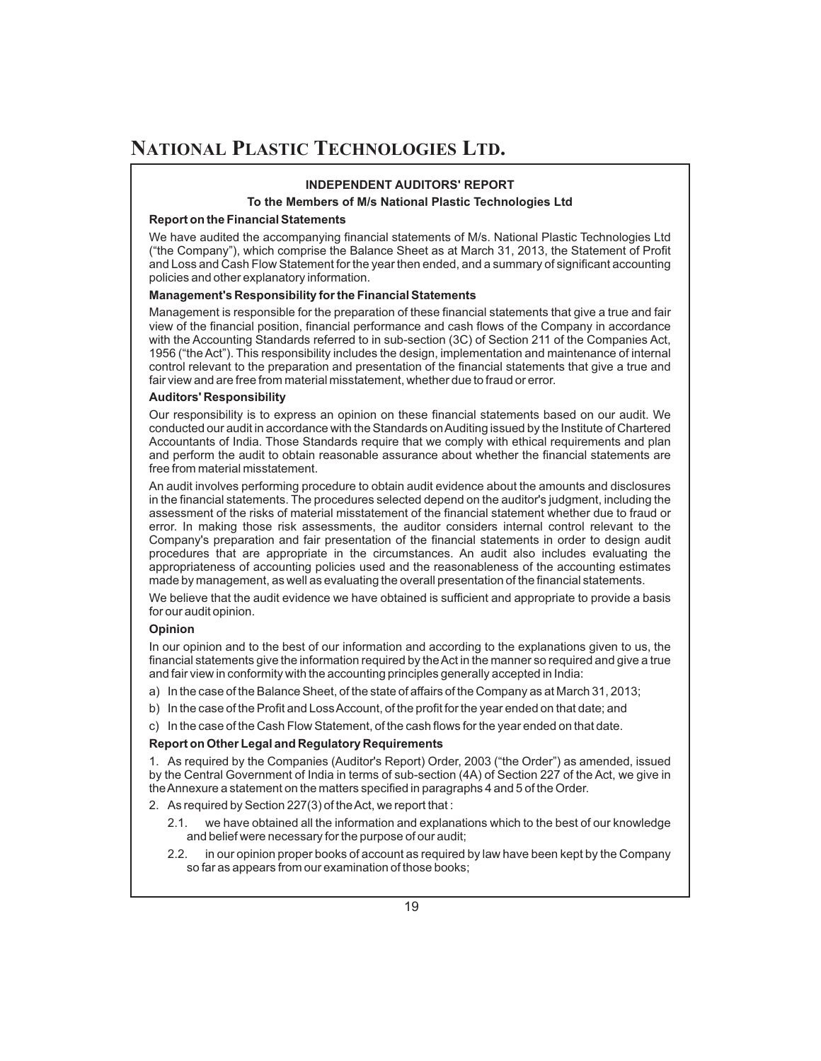#### **INDEPENDENT AUDITORS' REPORT**

#### **To the Members of M/s National Plastic Technologies Ltd**

#### **Report on the Financial Statements**

We have audited the accompanying financial statements of M/s. National Plastic Technologies Ltd ("the Company"), which comprise the Balance Sheet as at March 31, 2013, the Statement of Profit and Loss and Cash Flow Statement for the year then ended, and a summary of significant accounting policies and other explanatory information.

#### **Management's Responsibility for the Financial Statements**

Management is responsible for the preparation of these financial statements that give a true and fair view of the financial position, financial performance and cash flows of the Company in accordance with the Accounting Standards referred to in sub-section (3C) of Section 211 of the Companies Act, 1956 ("the Act"). This responsibility includes the design, implementation and maintenance of internal control relevant to the preparation and presentation of the financial statements that give a true and fair view and are free from material misstatement, whether due to fraud or error.

#### **Auditors' Responsibility**

Our responsibility is to express an opinion on these financial statements based on our audit. We conducted our audit in accordance with the Standards on Auditing issued by the Institute of Chartered Accountants of India. Those Standards require that we comply with ethical requirements and plan and perform the audit to obtain reasonable assurance about whether the financial statements are free from material misstatement.

An audit involves performing procedure to obtain audit evidence about the amounts and disclosures in the financial statements. The procedures selected depend on the auditor's judgment, including the assessment of the risks of material misstatement of the financial statement whether due to fraud or error. In making those risk assessments, the auditor considers internal control relevant to the Company's preparation and fair presentation of the financial statements in order to design audit procedures that are appropriate in the circumstances. An audit also includes evaluating the appropriateness of accounting policies used and the reasonableness of the accounting estimates made by management, as well as evaluating the overall presentation of the financial statements.

We believe that the audit evidence we have obtained is sufficient and appropriate to provide a basis for our audit opinion.

#### **Opinion**

In our opinion and to the best of our information and according to the explanations given to us, the financial statements give the information required by theAct in the manner so required and give a true and fair view in conformity with the accounting principles generally accepted in India:

a) In the case of the Balance Sheet, of the state of affairs of the Company as at March 31, 2013;

- b) In the case of the Profit and Loss Account, of the profit for the year ended on that date; and
- c) In the case of the Cash Flow Statement, of the cash flows for the year ended on that date.

#### **Report on Other Legal and Regulatory Requirements**

1. As required by the Companies (Auditor's Report) Order, 2003 ("the Order") as amended, issued by the Central Government of India in terms of sub-section (4A) of Section 227 of the Act, we give in theAnnexure a statement on the matters specified in paragraphs 4 and 5 of the Order.

2. As required by Section 227(3) of theAct, we report that :

- 2.1. we have obtained all the information and explanations which to the best of our knowledge and belief were necessary for the purpose of our audit;
- 2.2. in our opinion proper books of account as required by law have been kept by the Company so far as appears from our examination of those books;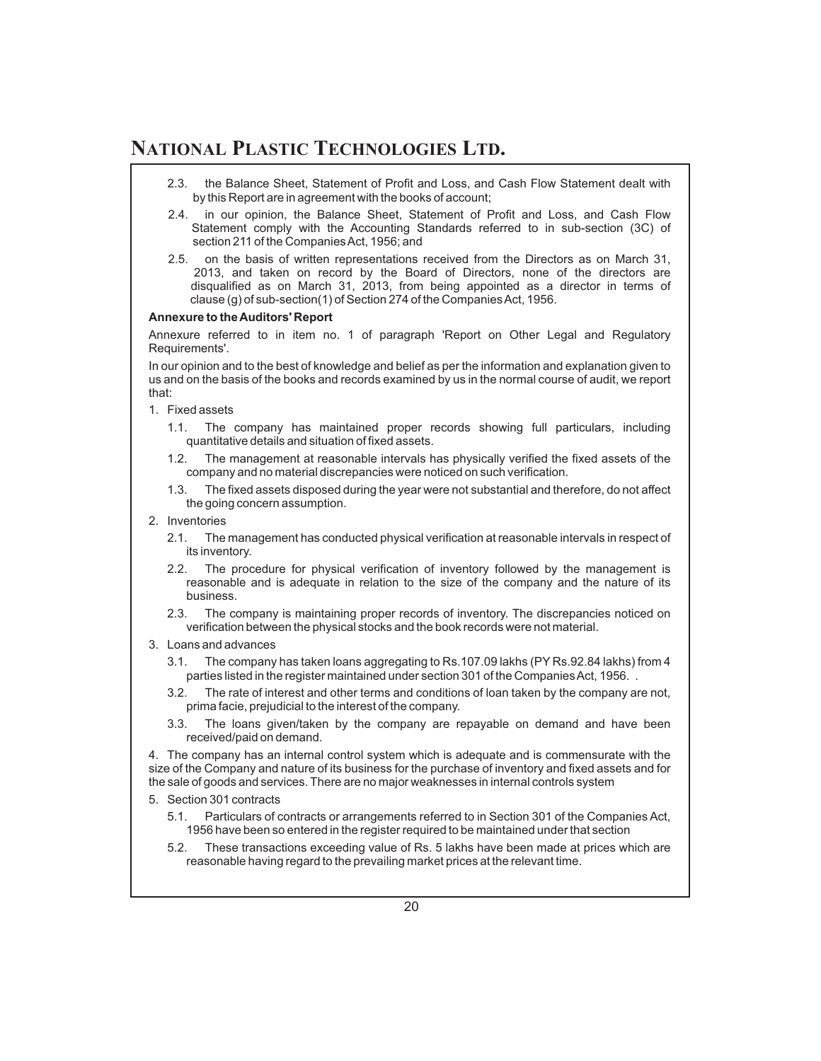- 2.3. the Balance Sheet, Statement of Profit and Loss, and Cash Flow Statement dealt with by this Report are in agreement with the books of account;
- 2.4. in our opinion, the Balance Sheet, Statement of Profit and Loss, and Cash Flow Statement comply with the Accounting Standards referred to in sub-section (3C) of section 211 of the CompaniesAct, 1956; and
- 2.5. on the basis of written representations received from the Directors as on March 31, 2013, and taken on record by the Board of Directors, none of the directors are disqualified as on March 31, 2013, from being appointed as a director in terms of clause (g) of sub-section(1) of Section 274 of the CompaniesAct, 1956.

#### **Annexure to theAuditors' Report**

Annexure referred to in item no. 1 of paragraph 'Report on Other Legal and Regulatory Requirements'.

In our opinion and to the best of knowledge and belief as per the information and explanation given to us and on the basis of the books and records examined by us in the normal course of audit, we report that:

- 1. Fixed assets
	- 1.1. The company has maintained proper records showing full particulars, including quantitative details and situation of fixed assets.
	- 1.2. The management at reasonable intervals has physically verified the fixed assets of the company and no material discrepancies were noticed on such verification.
	- 1.3. The fixed assets disposed during the year were not substantial and therefore, do not affect the going concern assumption.
- 2. Inventories
	- 2.1. The management has conducted physical verification at reasonable intervals in respect of its inventory.
	- 2.2. The procedure for physical verification of inventory followed by the management is reasonable and is adequate in relation to the size of the company and the nature of its business.
	- 2.3. The company is maintaining proper records of inventory. The discrepancies noticed on verification between the physical stocks and the book records were not material.
- 3. Loans and advances
	- 3.1. The company has taken loans aggregating to Rs.107.09 lakhs (PY Rs.92.84 lakhs) from 4 parties listed in the register maintained under section 301 of the Companies Act, 1956.
	- 3.2. The rate of interest and other terms and conditions of loan taken by the company are not, prima facie, prejudicial to the interest of the company.
	- 3.3. The loans given/taken by the company are repayable on demand and have been received/paid on demand.

4. The company has an internal control system which is adequate and is commensurate with the size of the Company and nature of its business for the purchase of inventory and fixed assets and for the sale of goods and services. There are no major weaknesses in internal controls system

- 5. Section 301 contracts
	- 5.1. Particulars of contracts or arrangements referred to in Section 301 of the Companies Act, 1956 have been so entered in the register required to be maintained under that section
	- 5.2. These transactions exceeding value of Rs. 5 lakhs have been made at prices which are reasonable having regard to the prevailing market prices at the relevant time.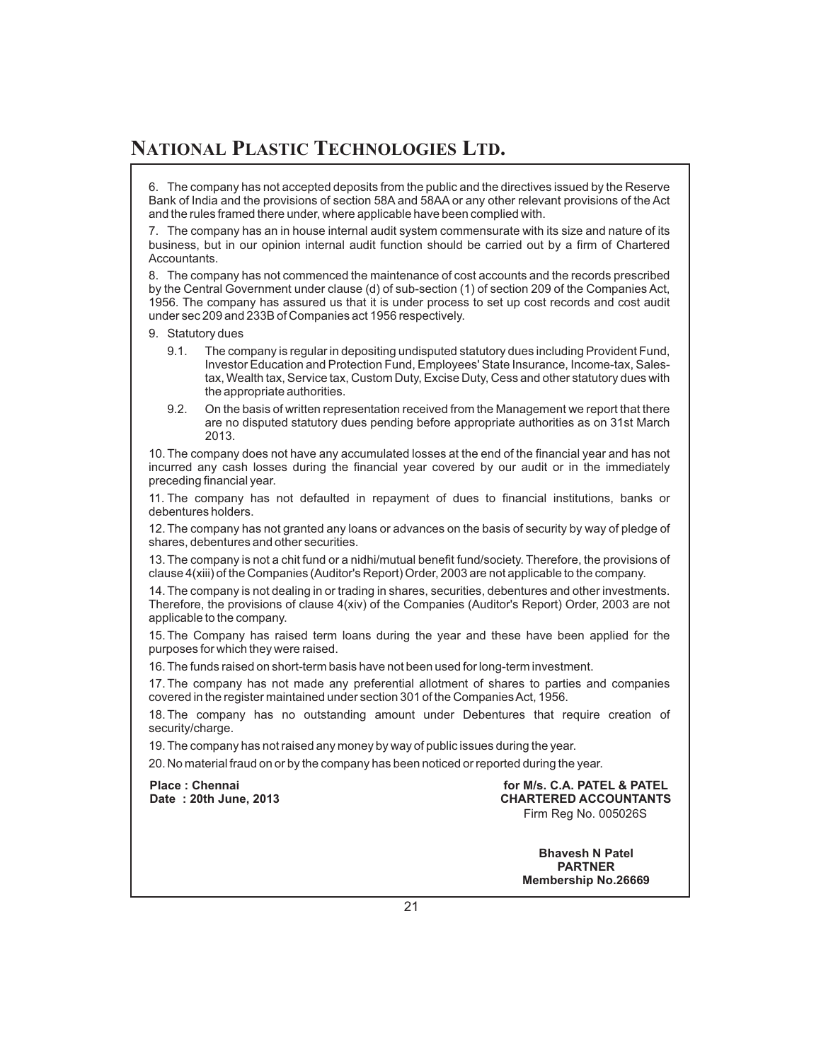6. The company has not accepted deposits from the public and the directives issued by the Reserve Bank of India and the provisions of section 58A and 58AA or any other relevant provisions of the Act and the rules framed there under, where applicable have been complied with.

7. The company has an in house internal audit system commensurate with its size and nature of its business, but in our opinion internal audit function should be carried out by a firm of Chartered Accountants.

8. The company has not commenced the maintenance of cost accounts and the records prescribed by the Central Government under clause (d) of sub-section (1) of section 209 of the Companies Act, 1956. The company has assured us that it is under process to set up cost records and cost audit under sec 209 and 233B of Companies act 1956 respectively.

- 9. Statutory dues
	- 9.1. The company is regular in depositing undisputed statutory dues including Provident Fund, Investor Education and Protection Fund, Employees' State Insurance, Income-tax, Salestax, Wealth tax, Service tax, Custom Duty, Excise Duty, Cess and other statutory dues with the appropriate authorities.
	- 9.2. On the basis of written representation received from the Management we report that there are no disputed statutory dues pending before appropriate authorities as on 31st March 2013.

10. The company does not have any accumulated losses at the end of the financial year and has not incurred any cash losses during the financial year covered by our audit or in the immediately preceding financial year.

11. The company has not defaulted in repayment of dues to financial institutions, banks or debentures holders.

12. The company has not granted any loans or advances on the basis of security by way of pledge of shares, debentures and other securities.

13. The company is not a chit fund or a nidhi/mutual benefit fund/society. Therefore, the provisions of clause 4(xiii) of the Companies (Auditor's Report) Order, 2003 are not applicable to the company.

14. The company is not dealing in or trading in shares, securities, debentures and other investments. Therefore, the provisions of clause 4(xiv) of the Companies (Auditor's Report) Order, 2003 are not applicable to the company.

15. The Company has raised term loans during the year and these have been applied for the purposes for which they were raised.

16. The funds raised on short-term basis have not been used for long-term investment.

17. The company has not made any preferential allotment of shares to parties and companies covered in the register maintained under section 301 of the CompaniesAct, 1956.

18. The company has no outstanding amount under Debentures that require creation of security/charge.

19. The company has not raised any money by way of public issues during the year.

20. No material fraud on or by the company has been noticed or reported during the year.

**Place : Chennai Date : 20th June, 2013**

**for M/s. C.A. PATEL & PATEL CHARTERED ACCOUNTANTS** Firm Reg No. 005026S

> **Bhavesh N Patel PARTNER Membership No.26669**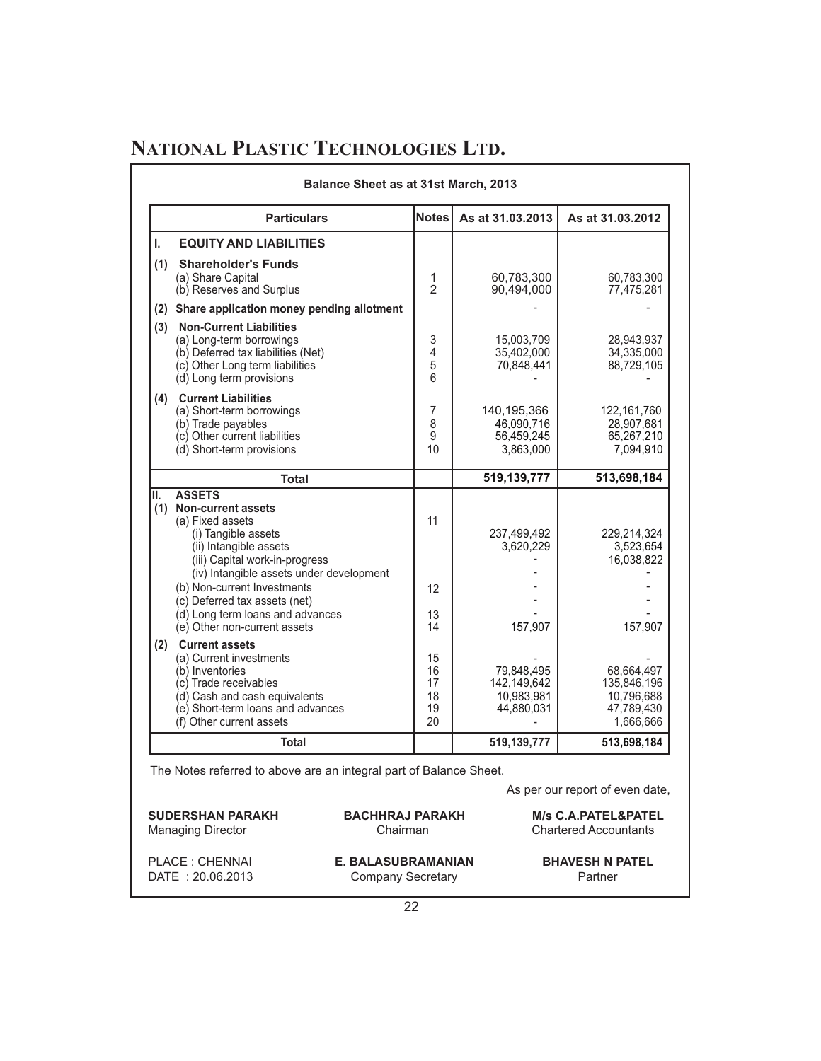|     | Balance Sheet as at 31st March, 2013                                                                                                                                                                                                                                                                                           |                                |                                                      |                                                      |
|-----|--------------------------------------------------------------------------------------------------------------------------------------------------------------------------------------------------------------------------------------------------------------------------------------------------------------------------------|--------------------------------|------------------------------------------------------|------------------------------------------------------|
|     | <b>Particulars</b>                                                                                                                                                                                                                                                                                                             | <b>Notes</b>                   | As at 31.03.2013                                     | As at 31.03.2012                                     |
| Ī.  | <b>EQUITY AND LIABILITIES</b>                                                                                                                                                                                                                                                                                                  |                                |                                                      |                                                      |
| (1) | <b>Shareholder's Funds</b><br>(a) Share Capital<br>(b) Reserves and Surplus                                                                                                                                                                                                                                                    | 1<br>$\mathfrak{D}$            | 60.783.300<br>90,494,000                             | 60,783,300<br>77,475,281                             |
|     | (2) Share application money pending allotment                                                                                                                                                                                                                                                                                  |                                |                                                      |                                                      |
| (3) | <b>Non-Current Liabilities</b><br>(a) Long-term borrowings<br>(b) Deferred tax liabilities (Net)<br>(c) Other Long term liabilities<br>(d) Long term provisions                                                                                                                                                                | 3<br>4<br>5<br>6               | 15,003,709<br>35,402,000<br>70,848,441               | 28.943.937<br>34,335,000<br>88,729,105               |
|     | (4) Current Liabilities<br>(a) Short-term borrowings<br>(b) Trade payables<br>(c) Other current liabilities<br>(d) Short-term provisions                                                                                                                                                                                       | $\overline{7}$<br>8<br>9<br>10 | 140,195,366<br>46,090,716<br>56,459,245<br>3,863,000 | 122,161,760<br>28,907,681<br>65,267,210<br>7,094,910 |
|     | <b>Total</b>                                                                                                                                                                                                                                                                                                                   |                                | 519,139,777                                          | 513,698,184                                          |
| II. | <b>ASSETS</b><br>(1) Non-current assets<br>(a) Fixed assets<br>(i) Tangible assets<br>(ii) Intangible assets<br>(iii) Capital work-in-progress<br>(iv) Intangible assets under development<br>(b) Non-current Investments<br>(c) Deferred tax assets (net)<br>(d) Long term loans and advances<br>(e) Other non-current assets | 11<br>12<br>13<br>14           | 237,499,492<br>3,620,229<br>157,907                  | 229,214,324<br>3,523,654<br>16,038,822<br>157,907    |
| (2) | <b>Current assets</b><br>(a) Current investments<br>(b) Inventories<br>(c) Trade receivables                                                                                                                                                                                                                                   | 15<br>16<br>17                 | 79,848,495<br>142,149,642<br>10,983,981              | 68,664,497<br>135,846,196<br>10,796,688              |
|     | (d) Cash and cash equivalents<br>(e) Short-term loans and advances<br>(f) Other current assets                                                                                                                                                                                                                                 | 18<br>19<br>20                 | 44,880,031                                           | 47,789,430<br>1,666,666                              |

The Notes referred to above are an integral part of Balance Sheet.

As per our report of even date,

| <b>SUDERSHAN PARAKH</b>  | <b>BACHHRAJ PARAKH</b>    | <b>M/s C.A.PATEL&amp;PATEL</b> |
|--------------------------|---------------------------|--------------------------------|
| <b>Managing Director</b> | Chairman                  | <b>Chartered Accountants</b>   |
| PLACE : CHENNAI          | <b>E. BALASUBRAMANIAN</b> | <b>BHAVESH N PATEL</b>         |
| DATE: 20.06.2013         | Company Secretary         | Partner                        |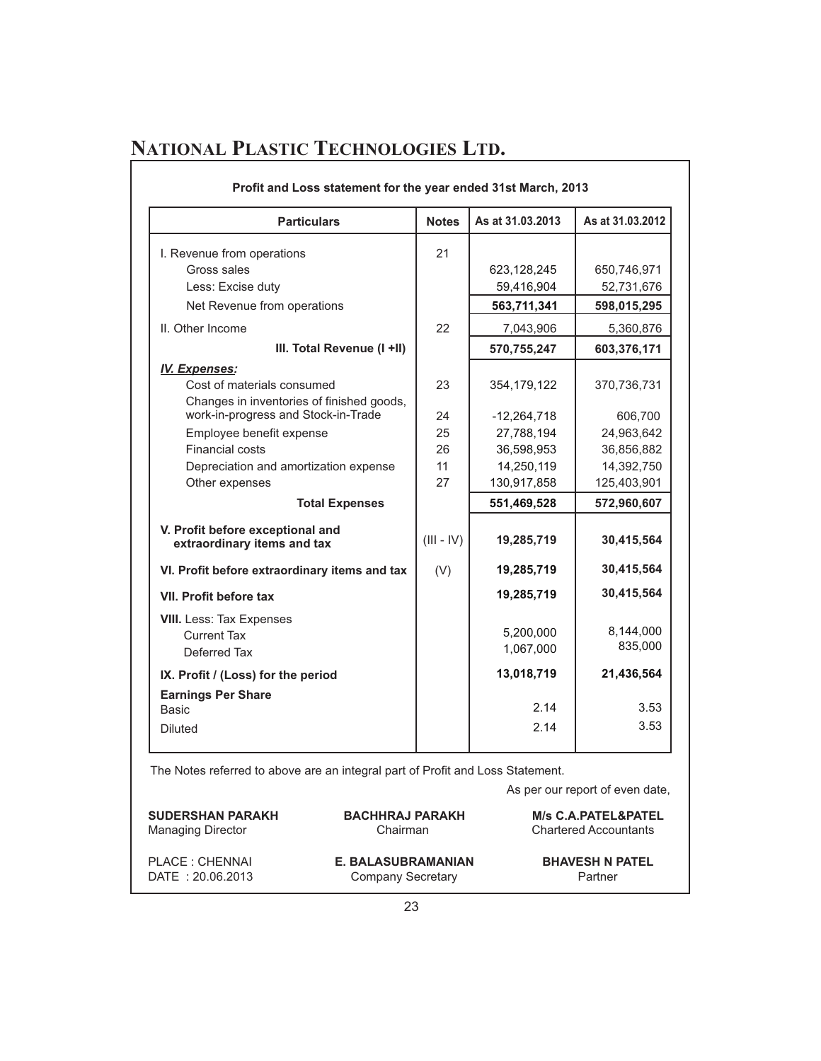| <b>Particulars</b>                                              | <b>Notes</b> | As at 31.03.2013 | As at 31.03.2012 |
|-----------------------------------------------------------------|--------------|------------------|------------------|
| I. Revenue from operations                                      | 21           |                  |                  |
| Gross sales                                                     |              | 623,128,245      | 650,746,971      |
| Less: Excise duty                                               |              | 59,416,904       | 52,731,676       |
| Net Revenue from operations                                     |              | 563,711,341      | 598,015,295      |
| II. Other Income                                                | 22           | 7,043,906        | 5,360,876        |
| III. Total Revenue (I +II)                                      |              | 570,755,247      | 603,376,171      |
| <b>IV. Expenses:</b>                                            |              |                  |                  |
| Cost of materials consumed                                      | 23           | 354, 179, 122    | 370,736,731      |
| Changes in inventories of finished goods,                       |              |                  |                  |
| work-in-progress and Stock-in-Trade                             | 24           | $-12,264,718$    | 606,700          |
| Employee benefit expense                                        | 25           | 27,788,194       | 24,963,642       |
| <b>Financial costs</b>                                          | 26           | 36,598,953       | 36,856,882       |
| Depreciation and amortization expense                           | 11           | 14,250,119       | 14,392,750       |
| Other expenses                                                  | 27           | 130,917,858      | 125,403,901      |
| <b>Total Expenses</b>                                           |              | 551,469,528      | 572,960,607      |
| V. Profit before exceptional and<br>extraordinary items and tax | $(III - IV)$ | 19,285,719       | 30,415,564       |
| VI. Profit before extraordinary items and tax                   | (V)          | 19,285,719       | 30,415,564       |
| <b>VII. Profit before tax</b>                                   |              | 19,285,719       | 30,415,564       |
| <b>VIII.</b> Less: Tax Expenses                                 |              |                  |                  |
| <b>Current Tax</b>                                              |              | 5,200,000        | 8,144,000        |
| Deferred Tax                                                    |              | 1,067,000        | 835,000          |
| IX. Profit / (Loss) for the period                              |              | 13,018,719       | 21,436,564       |
| <b>Earnings Per Share</b>                                       |              |                  |                  |
| Basic                                                           |              | 2.14             | 3.53             |
| <b>Diluted</b>                                                  |              | 2.14             | 3.53             |

The Notes referred to above are an integral part of Profit and Loss Statement.

| <b>SUDERSHAN PARAKH</b>  | <b>BACHHRAJ PARAKH</b>    | <b>M/s C.A.PATEL&amp;PATEL</b> |
|--------------------------|---------------------------|--------------------------------|
| <b>Managing Director</b> | Chairman                  | <b>Chartered Accountants</b>   |
| PLACE : CHENNAI          | <b>E. BALASUBRAMANIAN</b> | <b>BHAVESH N PATEL</b>         |
| DATE: 20.06.2013         | Company Secretary         | Partner                        |

As per our report of even date,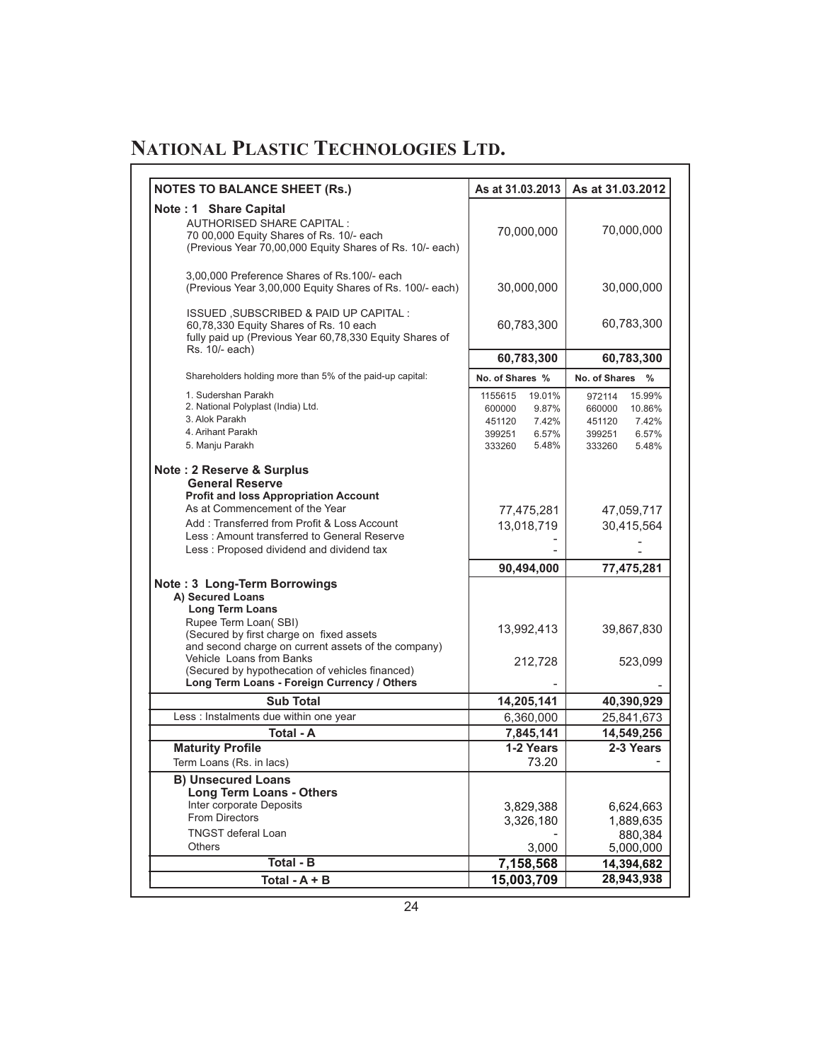| <b>NOTES TO BALANCE SHEET (Rs.)</b>                                                                                                                                                                                                                                                                                                 | As at 31.03.2013                                                                              | As at 31.03.2012                                                                              |
|-------------------------------------------------------------------------------------------------------------------------------------------------------------------------------------------------------------------------------------------------------------------------------------------------------------------------------------|-----------------------------------------------------------------------------------------------|-----------------------------------------------------------------------------------------------|
| Note: 1 Share Capital<br><b>AUTHORISED SHARE CAPITAL:</b><br>70 00,000 Equity Shares of Rs. 10/- each<br>(Previous Year 70,00,000 Equity Shares of Rs. 10/- each)                                                                                                                                                                   | 70,000,000                                                                                    | 70,000,000                                                                                    |
| 3,00,000 Preference Shares of Rs.100/- each<br>(Previous Year 3,00,000 Equity Shares of Rs. 100/- each)                                                                                                                                                                                                                             | 30,000,000                                                                                    | 30,000,000                                                                                    |
| ISSUED, SUBSCRIBED & PAID UP CAPITAL:<br>60,78,330 Equity Shares of Rs. 10 each<br>fully paid up (Previous Year 60,78,330 Equity Shares of                                                                                                                                                                                          | 60,783,300                                                                                    | 60,783,300                                                                                    |
| Rs. 10/- each)                                                                                                                                                                                                                                                                                                                      | 60,783,300                                                                                    | 60,783,300                                                                                    |
| Shareholders holding more than 5% of the paid-up capital:                                                                                                                                                                                                                                                                           | No. of Shares %                                                                               | No. of Shares %                                                                               |
| 1. Sudershan Parakh<br>2. National Polyplast (India) Ltd.<br>3. Alok Parakh<br>4. Arihant Parakh<br>5. Manju Parakh                                                                                                                                                                                                                 | 1155615<br>19.01%<br>600000<br>9.87%<br>451120<br>7.42%<br>399251<br>6.57%<br>5.48%<br>333260 | 15.99%<br>972114<br>660000<br>10.86%<br>451120<br>7.42%<br>399251<br>6.57%<br>333260<br>5.48% |
| Note: 2 Reserve & Surplus<br><b>General Reserve</b><br><b>Profit and loss Appropriation Account</b><br>As at Commencement of the Year<br>Add: Transferred from Profit & Loss Account<br>Less: Amount transferred to General Reserve<br>Less: Proposed dividend and dividend tax                                                     | 77,475,281<br>13,018,719                                                                      | 47,059,717<br>30,415,564                                                                      |
|                                                                                                                                                                                                                                                                                                                                     | 90,494,000                                                                                    | 77,475,281                                                                                    |
| Note: 3 Long-Term Borrowings<br>A) Secured Loans<br><b>Long Term Loans</b><br>Rupee Term Loan(SBI)<br>(Secured by first charge on fixed assets<br>and second charge on current assets of the company)<br>Vehicle Loans from Banks<br>(Secured by hypothecation of vehicles financed)<br>Long Term Loans - Foreign Currency / Others | 13,992,413<br>212,728                                                                         | 39,867,830<br>523,099                                                                         |
| <b>Sub Total</b>                                                                                                                                                                                                                                                                                                                    | 14,205,141                                                                                    | 40,390,929                                                                                    |
| Less : Instalments due within one year                                                                                                                                                                                                                                                                                              | 6,360,000                                                                                     | 25,841,673                                                                                    |
| <b>Total - A</b><br><b>Maturity Profile</b>                                                                                                                                                                                                                                                                                         | 7,845,141<br>1-2 Years                                                                        | 14,549,256<br>2-3 Years                                                                       |
| Term Loans (Rs. in lacs)                                                                                                                                                                                                                                                                                                            | 73.20                                                                                         |                                                                                               |
| <b>B) Unsecured Loans</b><br><b>Long Term Loans - Others</b><br>Inter corporate Deposits<br><b>From Directors</b><br><b>TNGST deferal Loan</b><br><b>Others</b>                                                                                                                                                                     | 3,829,388<br>3,326,180<br>3,000                                                               | 6,624,663<br>1,889,635<br>880,384<br>5,000,000                                                |
| Total - B                                                                                                                                                                                                                                                                                                                           | 7,158,568                                                                                     | 14,394,682                                                                                    |
| Total - $A + B$                                                                                                                                                                                                                                                                                                                     | 15,003,709                                                                                    | 28,943,938                                                                                    |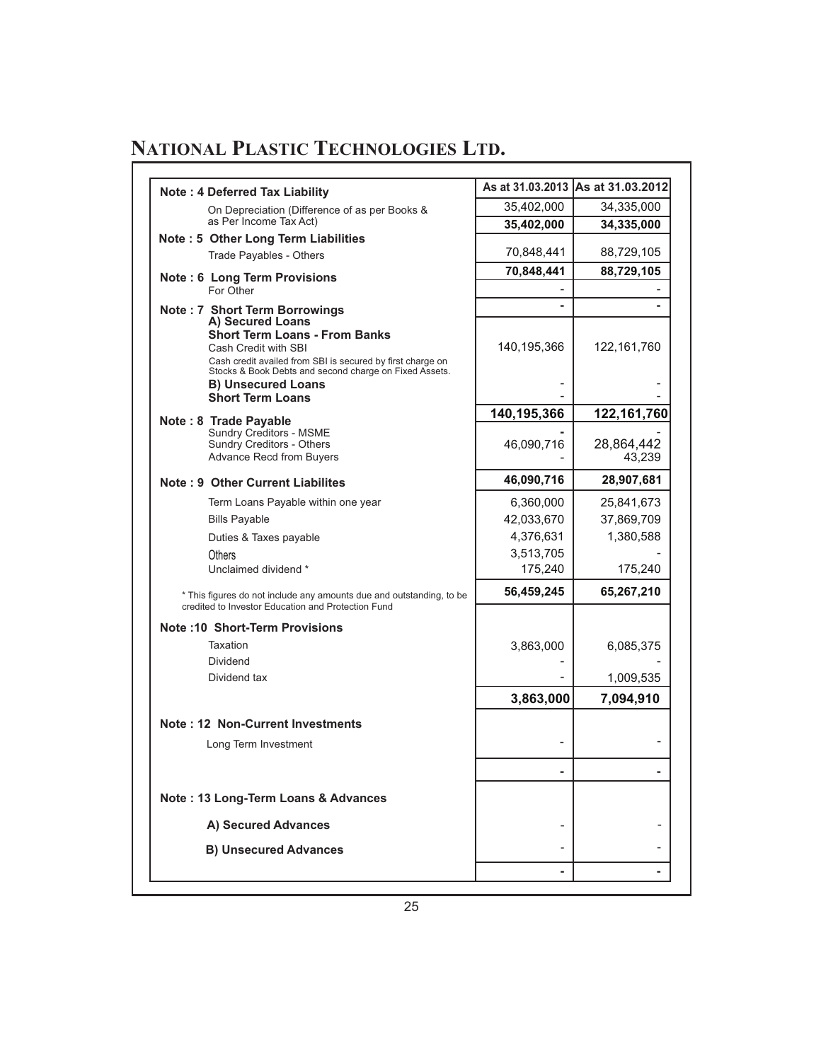| <b>Note: 4 Deferred Tax Liability</b>                                                                                                                                                                                                            |                                                              | As at 31.03.2013  As at 31.03.2012               |
|--------------------------------------------------------------------------------------------------------------------------------------------------------------------------------------------------------------------------------------------------|--------------------------------------------------------------|--------------------------------------------------|
| On Depreciation (Difference of as per Books &                                                                                                                                                                                                    | 35,402,000                                                   | 34,335,000                                       |
| as Per Income Tax Act)                                                                                                                                                                                                                           | 35,402,000                                                   | 34,335,000                                       |
| Note: 5 Other Long Term Liabilities<br>Trade Payables - Others                                                                                                                                                                                   | 70,848,441                                                   | 88,729,105                                       |
| <b>Note: 6 Long Term Provisions</b><br>For Other                                                                                                                                                                                                 | 70,848,441                                                   | 88,729,105                                       |
| <b>Note: 7 Short Term Borrowings</b><br>A) Secured Loans<br><b>Short Term Loans - From Banks</b><br>Cash Credit with SBI<br>Cash credit availed from SBI is secured by first charge on<br>Stocks & Book Debts and second charge on Fixed Assets. | 140,195,366                                                  | 122,161,760                                      |
| <b>B</b> ) Unsecured Loans<br><b>Short Term Loans</b>                                                                                                                                                                                            | 140,195,366                                                  | 122,161,760                                      |
| Note: 8 Trade Payable<br>Sundry Creditors - MSME<br>Sundry Creditors - Others<br><b>Advance Recd from Buyers</b>                                                                                                                                 | 46,090,716                                                   | 28,864,442<br>43,239                             |
| Note: 9 Other Current Liabilites                                                                                                                                                                                                                 | 46,090,716                                                   | 28,907,681                                       |
| Term Loans Payable within one year<br><b>Bills Payable</b><br>Duties & Taxes payable<br>Others<br>Unclaimed dividend *                                                                                                                           | 6,360,000<br>42,033,670<br>4,376,631<br>3,513,705<br>175,240 | 25,841,673<br>37,869,709<br>1,380,588<br>175,240 |
| * This figures do not include any amounts due and outstanding, to be                                                                                                                                                                             | 56,459,245                                                   | 65,267,210                                       |
| credited to Investor Education and Protection Fund                                                                                                                                                                                               |                                                              |                                                  |
| <b>Note :10 Short-Term Provisions</b><br>Taxation<br><b>Dividend</b><br>Dividend tax                                                                                                                                                             | 3,863,000                                                    | 6,085,375                                        |
|                                                                                                                                                                                                                                                  | 3,863,000                                                    | 1,009,535<br>7,094,910                           |
| Note: 12 Non-Current Investments                                                                                                                                                                                                                 |                                                              |                                                  |
| Long Term Investment                                                                                                                                                                                                                             |                                                              |                                                  |
| Note: 13 Long-Term Loans & Advances                                                                                                                                                                                                              |                                                              |                                                  |
| A) Secured Advances                                                                                                                                                                                                                              |                                                              |                                                  |
| <b>B) Unsecured Advances</b>                                                                                                                                                                                                                     |                                                              |                                                  |
|                                                                                                                                                                                                                                                  |                                                              |                                                  |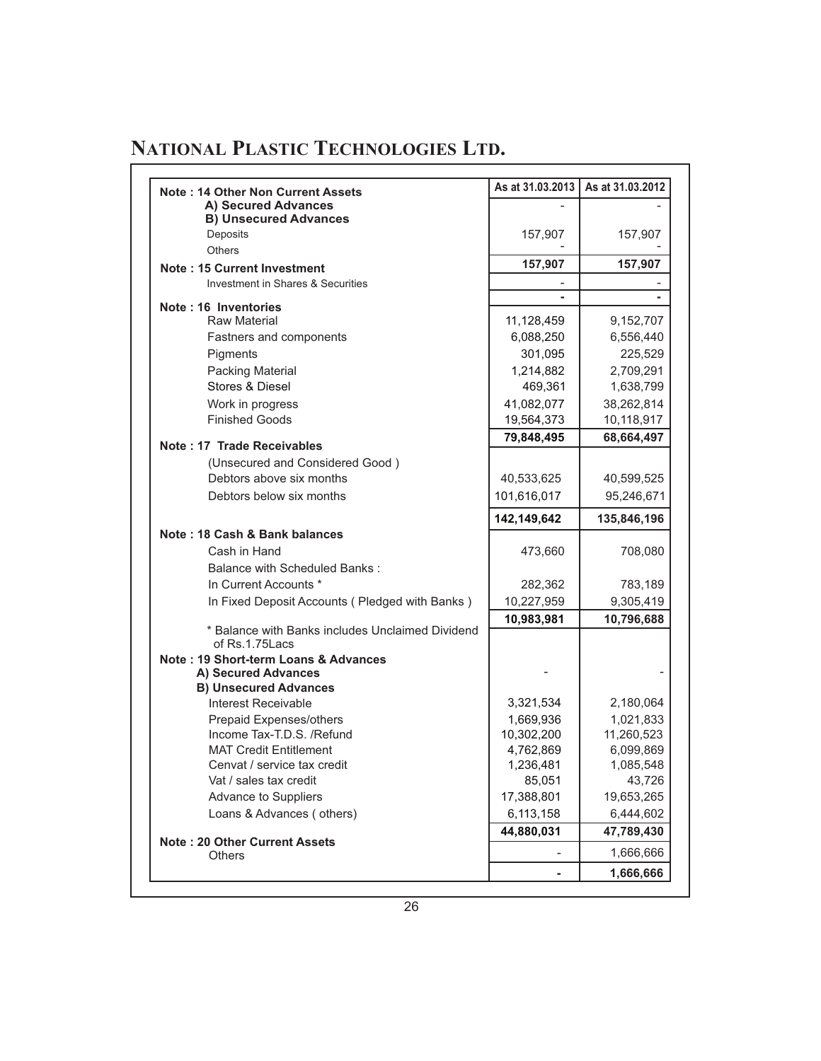| Note: 14 Other Non Current Assets                                  | As at 31.03.2013 | As at 31.03.2012 |
|--------------------------------------------------------------------|------------------|------------------|
| A) Secured Advances                                                |                  |                  |
| <b>B) Unsecured Advances</b>                                       |                  |                  |
| Deposits                                                           | 157,907          | 157,907          |
| <b>Others</b>                                                      |                  |                  |
| <b>Note: 15 Current Investment</b>                                 | 157,907          | 157,907          |
| Investment in Shares & Securities                                  |                  |                  |
| Note: 16 Inventories                                               |                  |                  |
| <b>Raw Material</b>                                                | 11,128,459       | 9,152,707        |
| Fastners and components                                            | 6,088,250        | 6,556,440        |
| Pigments                                                           | 301,095          | 225,529          |
| Packing Material                                                   | 1,214,882        | 2,709,291        |
| Stores & Diesel                                                    | 469,361          | 1,638,799        |
| Work in progress                                                   | 41,082,077       | 38,262,814       |
| <b>Finished Goods</b>                                              | 19,564,373       | 10,118,917       |
|                                                                    | 79,848,495       | 68,664,497       |
| Note: 17 Trade Receivables                                         |                  |                  |
| (Unsecured and Considered Good)                                    |                  |                  |
| Debtors above six months                                           | 40,533,625       | 40,599,525       |
| Debtors below six months                                           | 101,616,017      | 95,246,671       |
|                                                                    | 142,149,642      | 135,846,196      |
| Note: 18 Cash & Bank balances                                      |                  |                  |
| Cash in Hand                                                       | 473,660          | 708,080          |
| <b>Balance with Scheduled Banks:</b>                               |                  |                  |
| In Current Accounts *                                              | 282,362          | 783,189          |
| In Fixed Deposit Accounts (Pledged with Banks)                     | 10,227,959       | 9,305,419        |
|                                                                    | 10,983,981       | 10,796,688       |
| * Balance with Banks includes Unclaimed Dividend<br>of Rs.1.75Lacs |                  |                  |
| Note: 19 Short-term Loans & Advances                               |                  |                  |
| A) Secured Advances                                                |                  |                  |
| <b>B) Unsecured Advances</b><br>Interest Receivable                | 3,321,534        | 2,180,064        |
| Prepaid Expenses/others                                            | 1,669,936        | 1,021,833        |
| Income Tax-T.D.S. /Refund                                          | 10,302,200       | 11,260,523       |
| <b>MAT Credit Entitlement</b>                                      | 4,762,869        | 6,099,869        |
| Cenvat / service tax credit                                        | 1,236,481        | 1,085,548        |
| Vat / sales tax credit                                             | 85,051           | 43,726           |
| Advance to Suppliers                                               | 17,388,801       | 19,653,265       |
| Loans & Advances (others)                                          | 6,113,158        | 6,444,602        |
|                                                                    | 44,880,031       | 47,789,430       |
| <b>Note: 20 Other Current Assets</b>                               |                  | 1,666,666        |
| <b>Others</b>                                                      |                  |                  |
|                                                                    | ٠                | 1,666,666        |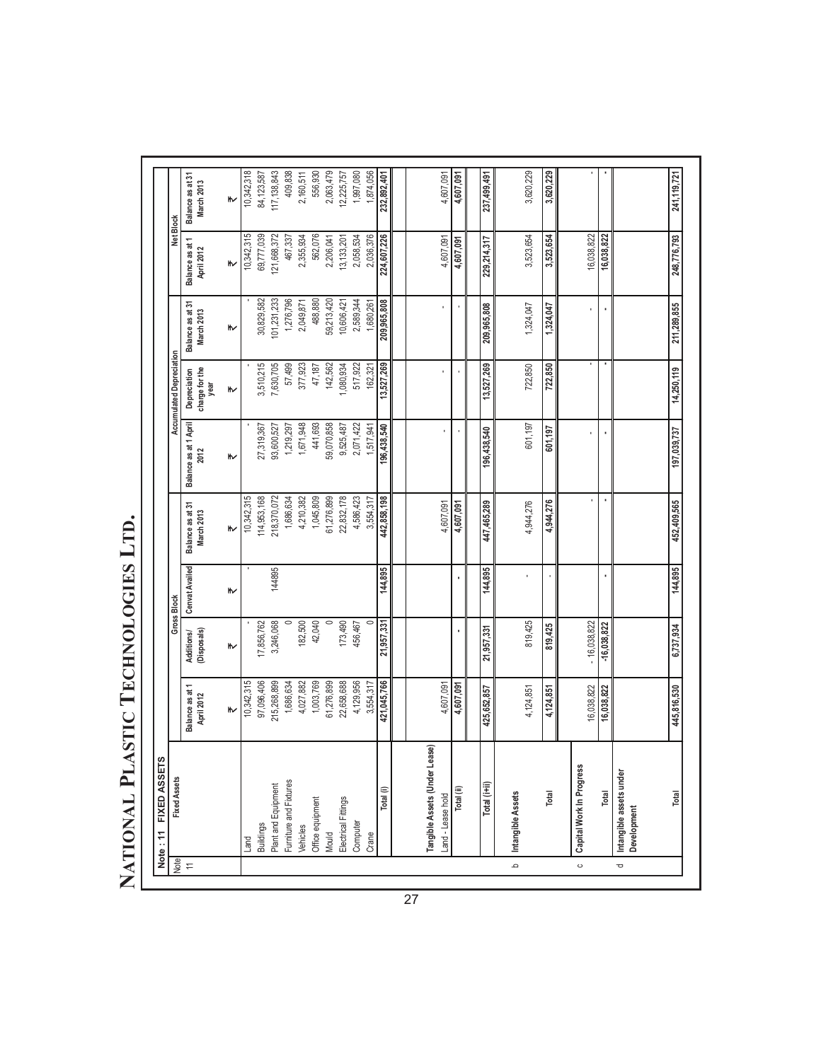| 101,231,233<br>1,276,796<br>488,880<br>59,213,420<br>2,589,344<br>30,829,582<br>209,965,808<br>2,049,871<br>10,606,421<br>1,680,261<br>Balance as at 31<br>209,965,808<br>1,324,047<br>1,324,047<br>March 2013<br>₩<br>Accumulated Depreciation<br>ı<br>٠<br>142,562<br>13,527,269<br>3,510,215<br>7,630,705<br>377,923<br>1,080,934<br>517,922<br>57,499<br>13,527,269<br>722,850<br>47,187<br>162,321<br>722,850<br>charge for the<br>Depreciation<br>year<br>₩<br>Balance as at 1 April<br>1,671,948<br>441,693<br>59,070,858<br>1,219,297<br>2,071,422<br>601,197<br>27,319,367<br>93,600,527<br>9,525,487<br>196,438,540<br>1,517,941<br>196,438,540<br>601,197<br>2012<br>⋫<br>218,370,072<br>1,045,809<br>442,858,198<br>10,342,315<br>1,686,634<br>4,210,382<br>61,276,899<br>22,832,178<br>4,586,423<br>114,953,168<br>3,554,317<br>ï<br>$\blacksquare$<br>4,944,276<br>447,465,289<br>4,944,276<br>4,607,091<br>Balance as at 31<br>4,607,091<br>March 2013<br>₩<br><b>Cenvat Availed</b><br>144,895<br>144,895<br>144895<br>⋫<br><b>Gross Block</b><br>819,425<br>182,500<br>173,490<br>$-16,038,822$<br>3,246,068<br>42,040<br>$\circ$<br>$\circ$<br>21,957,331<br>456,467<br>17,856,762<br>$-16,038,822$<br>819,425<br>21,957,331<br>(Disposals)<br><b>Additions/</b><br>⋫<br>215,268,899<br>421,045,766<br>10,342,315<br>97,096,406<br>1,003,769<br>61,276,899<br>22,658,688<br>4,129,956<br>1,686,634<br>4,027,882<br>3,554,317<br>4,607,091<br>4,607,091<br>Balance as at 1<br>16,038,822<br>16,038,822<br>425,652,857<br>4,124,851<br>4,124,851<br>April 2012<br>₩<br>Tangible Assets (Under Lease)<br>Capital Work In Progress<br>Intangible assets under<br><b>Fixed Assets</b><br>Furniture and Fixtures<br>Total (i+ii)<br>Plant and Equipment<br>Total (ii)<br>Total (i)<br>Intangible Assets<br>Total<br>Total<br>Land - Lease hold<br>Office equipment<br>Electrical Fittings<br>Development<br>Computer<br><b>Buildings</b><br>Vehicles<br>Mould<br>Crane<br>Land<br><b>Note</b><br>م<br>$\leftarrows$<br>$\circ$<br>Ō | FIXED ASSET<br>Note: 11 |             |           |         |             |             |            |             |                               |                                |
|-------------------------------------------------------------------------------------------------------------------------------------------------------------------------------------------------------------------------------------------------------------------------------------------------------------------------------------------------------------------------------------------------------------------------------------------------------------------------------------------------------------------------------------------------------------------------------------------------------------------------------------------------------------------------------------------------------------------------------------------------------------------------------------------------------------------------------------------------------------------------------------------------------------------------------------------------------------------------------------------------------------------------------------------------------------------------------------------------------------------------------------------------------------------------------------------------------------------------------------------------------------------------------------------------------------------------------------------------------------------------------------------------------------------------------------------------------------------------------------------------------------------------------------------------------------------------------------------------------------------------------------------------------------------------------------------------------------------------------------------------------------------------------------------------------------------------------------------------------------------------------------------------------------------------------------------------------------------------------------------------------------------------------------------------|-------------------------|-------------|-----------|---------|-------------|-------------|------------|-------------|-------------------------------|--------------------------------|
|                                                                                                                                                                                                                                                                                                                                                                                                                                                                                                                                                                                                                                                                                                                                                                                                                                                                                                                                                                                                                                                                                                                                                                                                                                                                                                                                                                                                                                                                                                                                                                                                                                                                                                                                                                                                                                                                                                                                                                                                                                                 |                         |             |           |         |             |             |            |             | Net Block                     |                                |
|                                                                                                                                                                                                                                                                                                                                                                                                                                                                                                                                                                                                                                                                                                                                                                                                                                                                                                                                                                                                                                                                                                                                                                                                                                                                                                                                                                                                                                                                                                                                                                                                                                                                                                                                                                                                                                                                                                                                                                                                                                                 |                         |             |           |         |             |             |            |             | Balance as at 1<br>April 2012 | Balance as at 31<br>March 2013 |
|                                                                                                                                                                                                                                                                                                                                                                                                                                                                                                                                                                                                                                                                                                                                                                                                                                                                                                                                                                                                                                                                                                                                                                                                                                                                                                                                                                                                                                                                                                                                                                                                                                                                                                                                                                                                                                                                                                                                                                                                                                                 |                         |             |           |         |             |             |            |             | ₩                             | ₩                              |
|                                                                                                                                                                                                                                                                                                                                                                                                                                                                                                                                                                                                                                                                                                                                                                                                                                                                                                                                                                                                                                                                                                                                                                                                                                                                                                                                                                                                                                                                                                                                                                                                                                                                                                                                                                                                                                                                                                                                                                                                                                                 |                         |             |           |         |             |             |            |             | 10,342,315                    | 10,342,318                     |
|                                                                                                                                                                                                                                                                                                                                                                                                                                                                                                                                                                                                                                                                                                                                                                                                                                                                                                                                                                                                                                                                                                                                                                                                                                                                                                                                                                                                                                                                                                                                                                                                                                                                                                                                                                                                                                                                                                                                                                                                                                                 |                         |             |           |         |             |             |            |             | 69,777,039                    | 84,123,587                     |
|                                                                                                                                                                                                                                                                                                                                                                                                                                                                                                                                                                                                                                                                                                                                                                                                                                                                                                                                                                                                                                                                                                                                                                                                                                                                                                                                                                                                                                                                                                                                                                                                                                                                                                                                                                                                                                                                                                                                                                                                                                                 |                         |             |           |         |             |             |            |             | 121,668,372                   | 117, 138, 843                  |
|                                                                                                                                                                                                                                                                                                                                                                                                                                                                                                                                                                                                                                                                                                                                                                                                                                                                                                                                                                                                                                                                                                                                                                                                                                                                                                                                                                                                                                                                                                                                                                                                                                                                                                                                                                                                                                                                                                                                                                                                                                                 |                         |             |           |         |             |             |            |             | 467,337                       | 409,838                        |
|                                                                                                                                                                                                                                                                                                                                                                                                                                                                                                                                                                                                                                                                                                                                                                                                                                                                                                                                                                                                                                                                                                                                                                                                                                                                                                                                                                                                                                                                                                                                                                                                                                                                                                                                                                                                                                                                                                                                                                                                                                                 |                         |             |           |         |             |             |            |             | 2,355,934                     | 2,160,511                      |
|                                                                                                                                                                                                                                                                                                                                                                                                                                                                                                                                                                                                                                                                                                                                                                                                                                                                                                                                                                                                                                                                                                                                                                                                                                                                                                                                                                                                                                                                                                                                                                                                                                                                                                                                                                                                                                                                                                                                                                                                                                                 |                         |             |           |         |             |             |            |             | 562,076                       | 556,930                        |
|                                                                                                                                                                                                                                                                                                                                                                                                                                                                                                                                                                                                                                                                                                                                                                                                                                                                                                                                                                                                                                                                                                                                                                                                                                                                                                                                                                                                                                                                                                                                                                                                                                                                                                                                                                                                                                                                                                                                                                                                                                                 |                         |             |           |         |             |             |            |             | 2,206,041                     | 2,063,479                      |
|                                                                                                                                                                                                                                                                                                                                                                                                                                                                                                                                                                                                                                                                                                                                                                                                                                                                                                                                                                                                                                                                                                                                                                                                                                                                                                                                                                                                                                                                                                                                                                                                                                                                                                                                                                                                                                                                                                                                                                                                                                                 |                         |             |           |         |             |             |            |             | 13,133,201                    | 12,225,757                     |
|                                                                                                                                                                                                                                                                                                                                                                                                                                                                                                                                                                                                                                                                                                                                                                                                                                                                                                                                                                                                                                                                                                                                                                                                                                                                                                                                                                                                                                                                                                                                                                                                                                                                                                                                                                                                                                                                                                                                                                                                                                                 |                         |             |           |         |             |             |            |             | 2,058,534                     | 1,997,080                      |
|                                                                                                                                                                                                                                                                                                                                                                                                                                                                                                                                                                                                                                                                                                                                                                                                                                                                                                                                                                                                                                                                                                                                                                                                                                                                                                                                                                                                                                                                                                                                                                                                                                                                                                                                                                                                                                                                                                                                                                                                                                                 |                         |             |           |         |             |             |            |             | 2,036,376                     | 1,874,056                      |
|                                                                                                                                                                                                                                                                                                                                                                                                                                                                                                                                                                                                                                                                                                                                                                                                                                                                                                                                                                                                                                                                                                                                                                                                                                                                                                                                                                                                                                                                                                                                                                                                                                                                                                                                                                                                                                                                                                                                                                                                                                                 |                         |             |           |         |             |             |            |             | 224, 607, 226                 | 232,892,401                    |
|                                                                                                                                                                                                                                                                                                                                                                                                                                                                                                                                                                                                                                                                                                                                                                                                                                                                                                                                                                                                                                                                                                                                                                                                                                                                                                                                                                                                                                                                                                                                                                                                                                                                                                                                                                                                                                                                                                                                                                                                                                                 |                         |             |           |         |             |             |            |             |                               |                                |
|                                                                                                                                                                                                                                                                                                                                                                                                                                                                                                                                                                                                                                                                                                                                                                                                                                                                                                                                                                                                                                                                                                                                                                                                                                                                                                                                                                                                                                                                                                                                                                                                                                                                                                                                                                                                                                                                                                                                                                                                                                                 |                         |             |           |         |             |             |            |             | 4,607,091                     | 4,607,091                      |
|                                                                                                                                                                                                                                                                                                                                                                                                                                                                                                                                                                                                                                                                                                                                                                                                                                                                                                                                                                                                                                                                                                                                                                                                                                                                                                                                                                                                                                                                                                                                                                                                                                                                                                                                                                                                                                                                                                                                                                                                                                                 |                         |             |           |         |             |             |            |             | 4,607,091                     | 4,607,091                      |
|                                                                                                                                                                                                                                                                                                                                                                                                                                                                                                                                                                                                                                                                                                                                                                                                                                                                                                                                                                                                                                                                                                                                                                                                                                                                                                                                                                                                                                                                                                                                                                                                                                                                                                                                                                                                                                                                                                                                                                                                                                                 |                         |             |           |         |             |             |            |             |                               |                                |
|                                                                                                                                                                                                                                                                                                                                                                                                                                                                                                                                                                                                                                                                                                                                                                                                                                                                                                                                                                                                                                                                                                                                                                                                                                                                                                                                                                                                                                                                                                                                                                                                                                                                                                                                                                                                                                                                                                                                                                                                                                                 |                         |             |           |         |             |             |            |             | 229,214,317                   | 237,499,491                    |
|                                                                                                                                                                                                                                                                                                                                                                                                                                                                                                                                                                                                                                                                                                                                                                                                                                                                                                                                                                                                                                                                                                                                                                                                                                                                                                                                                                                                                                                                                                                                                                                                                                                                                                                                                                                                                                                                                                                                                                                                                                                 |                         |             |           |         |             |             |            |             | 3,523,654                     | 3,620,229                      |
|                                                                                                                                                                                                                                                                                                                                                                                                                                                                                                                                                                                                                                                                                                                                                                                                                                                                                                                                                                                                                                                                                                                                                                                                                                                                                                                                                                                                                                                                                                                                                                                                                                                                                                                                                                                                                                                                                                                                                                                                                                                 |                         |             |           |         |             |             |            |             | 3,523,654                     | 3,620,229                      |
|                                                                                                                                                                                                                                                                                                                                                                                                                                                                                                                                                                                                                                                                                                                                                                                                                                                                                                                                                                                                                                                                                                                                                                                                                                                                                                                                                                                                                                                                                                                                                                                                                                                                                                                                                                                                                                                                                                                                                                                                                                                 |                         |             |           |         |             |             |            |             | 16,038,822                    |                                |
|                                                                                                                                                                                                                                                                                                                                                                                                                                                                                                                                                                                                                                                                                                                                                                                                                                                                                                                                                                                                                                                                                                                                                                                                                                                                                                                                                                                                                                                                                                                                                                                                                                                                                                                                                                                                                                                                                                                                                                                                                                                 |                         |             |           |         |             |             |            |             | 16,038,822                    |                                |
|                                                                                                                                                                                                                                                                                                                                                                                                                                                                                                                                                                                                                                                                                                                                                                                                                                                                                                                                                                                                                                                                                                                                                                                                                                                                                                                                                                                                                                                                                                                                                                                                                                                                                                                                                                                                                                                                                                                                                                                                                                                 |                         |             |           |         |             |             |            |             |                               |                                |
|                                                                                                                                                                                                                                                                                                                                                                                                                                                                                                                                                                                                                                                                                                                                                                                                                                                                                                                                                                                                                                                                                                                                                                                                                                                                                                                                                                                                                                                                                                                                                                                                                                                                                                                                                                                                                                                                                                                                                                                                                                                 | Total                   | 445,816,530 | 6,737,934 | 144,895 | 452,409,565 | 197,039,737 | 14,250,119 | 211,289,855 | 248,776,793                   | 241, 119, 721                  |

# **N P T L . ATIONAL LASTIC ECHNOLOGIES TD** NATIONAL PLASTIC TECHNOLOGIES LTD.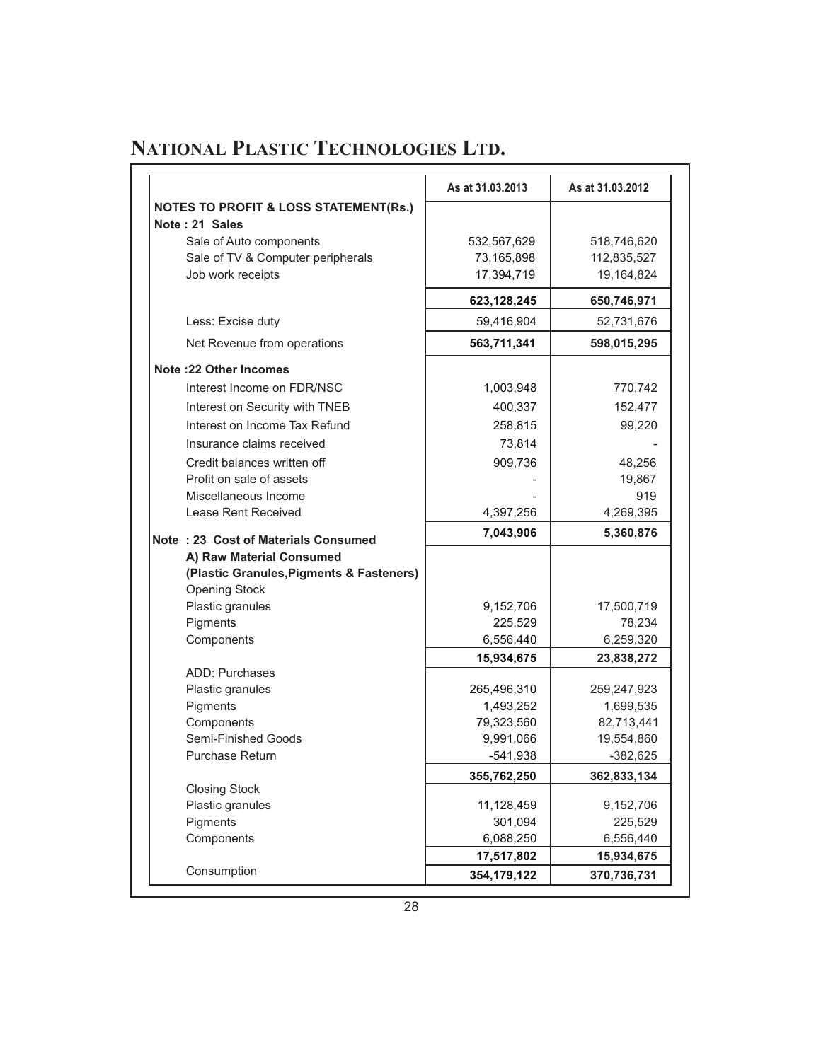|                                                  | As at 31.03.2013 | As at 31.03.2012 |
|--------------------------------------------------|------------------|------------------|
| <b>NOTES TO PROFIT &amp; LOSS STATEMENT(Rs.)</b> |                  |                  |
| Note: 21 Sales                                   |                  |                  |
| Sale of Auto components                          | 532,567,629      | 518,746,620      |
| Sale of TV & Computer peripherals                | 73,165,898       | 112,835,527      |
| Job work receipts                                | 17,394,719       | 19,164,824       |
|                                                  | 623,128,245      | 650,746,971      |
| Less: Excise duty                                | 59,416,904       | 52,731,676       |
| Net Revenue from operations                      | 563,711,341      | 598,015,295      |
| <b>Note :22 Other Incomes</b>                    |                  |                  |
| Interest Income on FDR/NSC                       | 1,003,948        | 770,742          |
| Interest on Security with TNEB                   | 400,337          | 152,477          |
| Interest on Income Tax Refund                    | 258,815          | 99,220           |
| Insurance claims received                        | 73,814           |                  |
| Credit balances written off                      | 909,736          | 48,256           |
| Profit on sale of assets                         |                  | 19,867           |
| Miscellaneous Income                             |                  | 919              |
| Lease Rent Received                              | 4,397,256        | 4,269,395        |
| Note: 23 Cost of Materials Consumed              | 7,043,906        | 5,360,876        |
| A) Raw Material Consumed                         |                  |                  |
| (Plastic Granules, Pigments & Fasteners)         |                  |                  |
| <b>Opening Stock</b>                             |                  |                  |
| Plastic granules                                 | 9,152,706        | 17,500,719       |
| Pigments                                         | 225,529          | 78,234           |
| Components                                       | 6,556,440        | 6,259,320        |
|                                                  | 15,934,675       | 23,838,272       |
| <b>ADD: Purchases</b>                            |                  |                  |
| Plastic granules                                 | 265,496,310      | 259,247,923      |
| Pigments                                         | 1,493,252        | 1,699,535        |
| Components                                       | 79,323,560       | 82,713,441       |
| Semi-Finished Goods                              | 9,991,066        | 19,554,860       |
| <b>Purchase Return</b>                           | -541,938         | $-382,625$       |
|                                                  | 355,762,250      | 362,833,134      |
| <b>Closing Stock</b>                             |                  |                  |
| Plastic granules                                 | 11,128,459       | 9,152,706        |
| Pigments                                         | 301,094          | 225,529          |
| Components                                       | 6,088,250        | 6,556,440        |
| Consumption                                      | 17,517,802       | 15,934,675       |
|                                                  | 354,179,122      | 370,736,731      |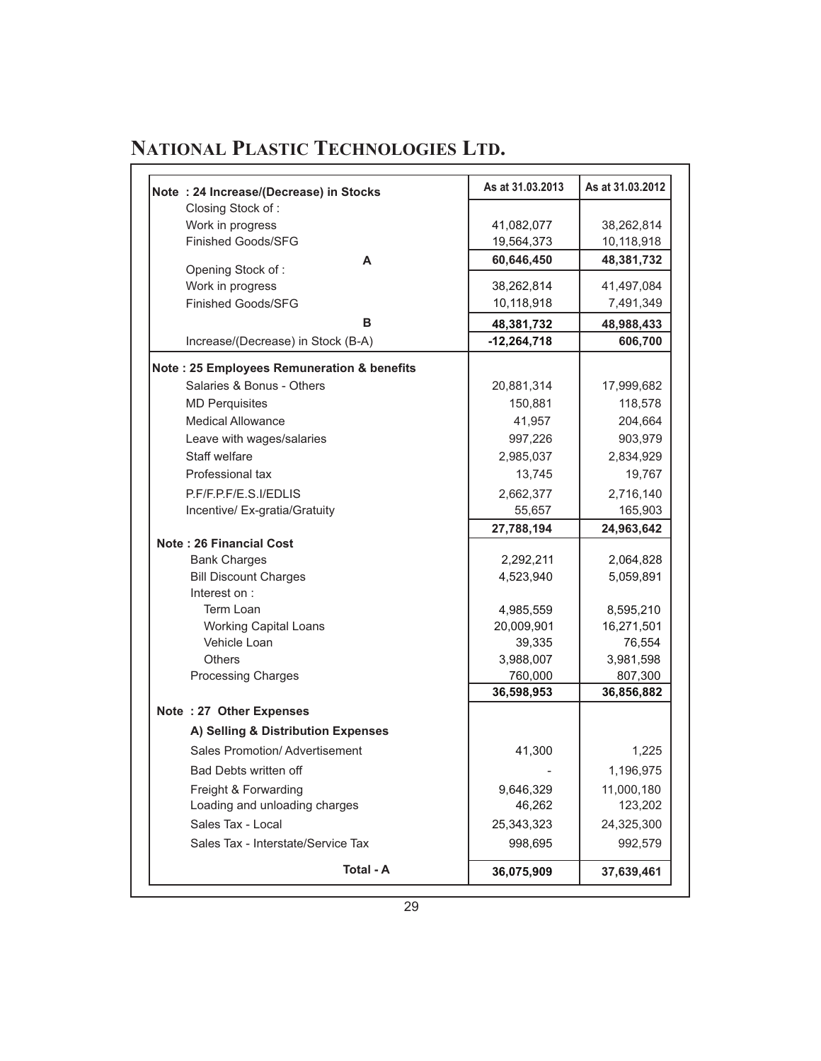|                                                             | As at 31.03.2013     | As at 31.03.2012     |
|-------------------------------------------------------------|----------------------|----------------------|
| Note: 24 Increase/(Decrease) in Stocks<br>Closing Stock of: |                      |                      |
| Work in progress                                            | 41,082,077           | 38,262,814           |
| <b>Finished Goods/SFG</b>                                   | 19,564,373           | 10,118,918           |
| A                                                           | 60,646,450           | 48,381,732           |
| Opening Stock of:                                           |                      |                      |
| Work in progress                                            | 38,262,814           | 41,497,084           |
| <b>Finished Goods/SFG</b>                                   | 10,118,918           | 7,491,349            |
| в                                                           | 48,381,732           | 48,988,433           |
| Increase/(Decrease) in Stock (B-A)                          | $-12,264,718$        | 606,700              |
| Note: 25 Employees Remuneration & benefits                  |                      |                      |
| Salaries & Bonus - Others                                   | 20,881,314           | 17,999,682           |
| <b>MD Perquisites</b>                                       | 150,881              | 118,578              |
| <b>Medical Allowance</b>                                    | 41,957               | 204,664              |
| Leave with wages/salaries                                   | 997,226              | 903,979              |
| Staff welfare                                               | 2,985,037            | 2,834,929            |
| Professional tax                                            | 13,745               | 19,767               |
| P.F/F.P.F/E.S.I/EDLIS                                       | 2,662,377            | 2,716,140            |
| Incentive/ Ex-gratia/Gratuity                               | 55,657               | 165,903              |
|                                                             | 27,788,194           | 24,963,642           |
| <b>Note: 26 Financial Cost</b>                              |                      |                      |
| <b>Bank Charges</b>                                         | 2,292,211            | 2,064,828            |
| <b>Bill Discount Charges</b>                                | 4,523,940            | 5,059,891            |
| Interest on:                                                |                      |                      |
| Term Loan                                                   | 4,985,559            | 8,595,210            |
| <b>Working Capital Loans</b>                                | 20,009,901           | 16,271,501           |
| Vehicle Loan<br><b>Others</b>                               | 39,335               | 76,554               |
| Processing Charges                                          | 3,988,007<br>760,000 | 3,981,598<br>807,300 |
|                                                             | 36,598,953           | 36,856,882           |
| Note: 27 Other Expenses                                     |                      |                      |
| A) Selling & Distribution Expenses                          |                      |                      |
| Sales Promotion/ Advertisement                              | 41,300               | 1,225                |
| Bad Debts written off                                       |                      | 1,196,975            |
| Freight & Forwarding                                        | 9,646,329            | 11,000,180           |
| Loading and unloading charges                               | 46,262               | 123,202              |
| Sales Tax - Local                                           | 25,343,323           | 24,325,300           |
|                                                             | 998,695              | 992,579              |
| Sales Tax - Interstate/Service Tax                          |                      |                      |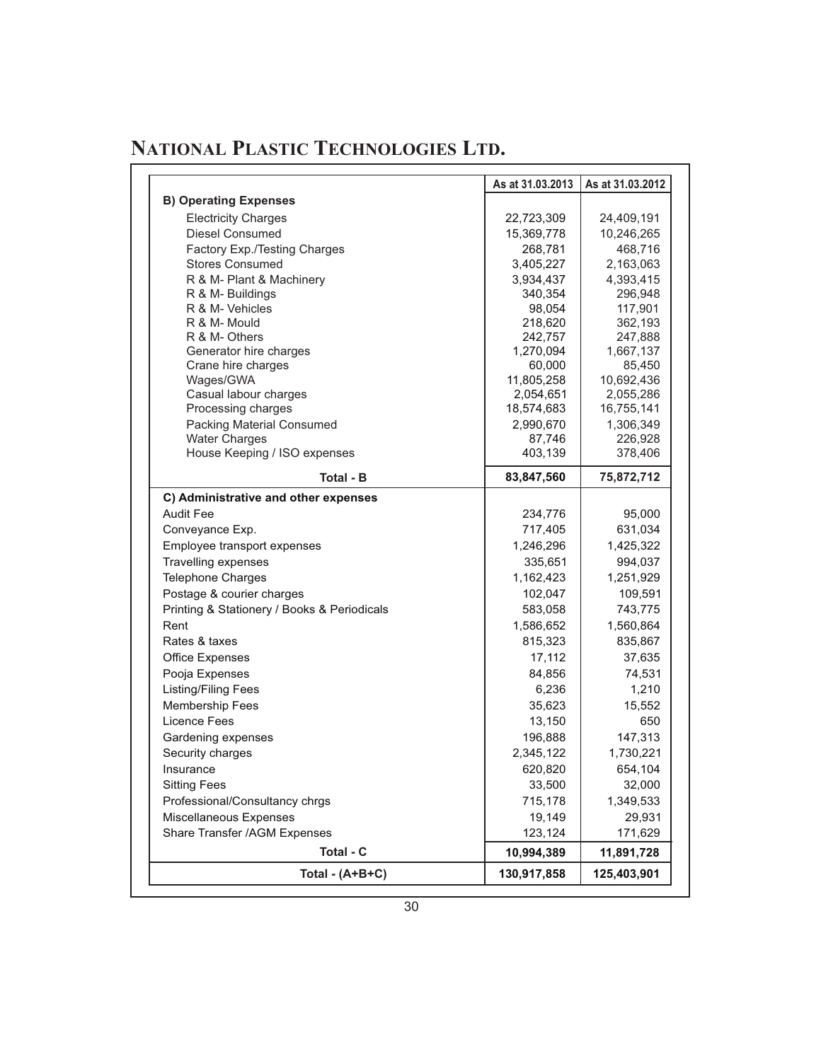|                                             | As at 31.03.2013    | As at 31.03.2012    |
|---------------------------------------------|---------------------|---------------------|
| <b>B) Operating Expenses</b>                |                     |                     |
| <b>Electricity Charges</b>                  | 22,723,309          | 24,409,191          |
| Diesel Consumed                             | 15,369,778          | 10,246,265          |
| Factory Exp./Testing Charges                | 268,781             | 468,716             |
| <b>Stores Consumed</b>                      | 3,405,227           | 2,163,063           |
| R & M- Plant & Machinery                    | 3,934,437           | 4,393,415           |
| R & M- Buildings                            | 340,354             | 296,948             |
| R & M- Vehicles                             | 98,054              | 117,901             |
| R & M- Mould                                | 218,620             | 362,193             |
| R & M- Others                               | 242,757             | 247,888             |
| Generator hire charges                      | 1,270,094<br>60,000 | 1,667,137<br>85,450 |
| Crane hire charges<br>Wages/GWA             | 11,805,258          | 10,692,436          |
| Casual labour charges                       | 2,054,651           | 2,055,286           |
| Processing charges                          | 18,574,683          | 16,755,141          |
| Packing Material Consumed                   | 2,990,670           | 1,306,349           |
| <b>Water Charges</b>                        | 87,746              | 226,928             |
| House Keeping / ISO expenses                | 403,139             | 378,406             |
| <b>Total - B</b>                            | 83,847,560          | 75,872,712          |
| C) Administrative and other expenses        |                     |                     |
| <b>Audit Fee</b>                            | 234,776             | 95,000              |
| Conveyance Exp.                             | 717,405             | 631,034             |
| Employee transport expenses                 | 1,246,296           | 1,425,322           |
| Travelling expenses                         | 335,651             | 994,037             |
| Telephone Charges                           | 1,162,423           | 1,251,929           |
| Postage & courier charges                   | 102,047             | 109,591             |
| Printing & Stationery / Books & Periodicals | 583,058             | 743,775             |
| Rent                                        | 1,586,652           | 1,560,864           |
| Rates & taxes                               | 815,323             | 835,867             |
| <b>Office Expenses</b>                      | 17,112              | 37,635              |
| Pooja Expenses                              | 84,856              | 74,531              |
| Listing/Filing Fees                         | 6,236               | 1,210               |
| <b>Membership Fees</b>                      | 35,623              | 15,552              |
| Licence Fees                                | 13,150              | 650                 |
| Gardening expenses                          | 196,888             | 147,313             |
| Security charges                            | 2,345,122           | 1,730,221           |
| Insurance                                   | 620.820             | 654.104             |
| <b>Sitting Fees</b>                         | 33,500              | 32,000              |
| Professional/Consultancy chrgs              | 715,178             | 1,349,533           |
| Miscellaneous Expenses                      | 19,149              | 29,931              |
| Share Transfer /AGM Expenses                | 123,124             | 171,629             |
|                                             |                     |                     |
| Total - C                                   | 10,994,389          | 11,891,728          |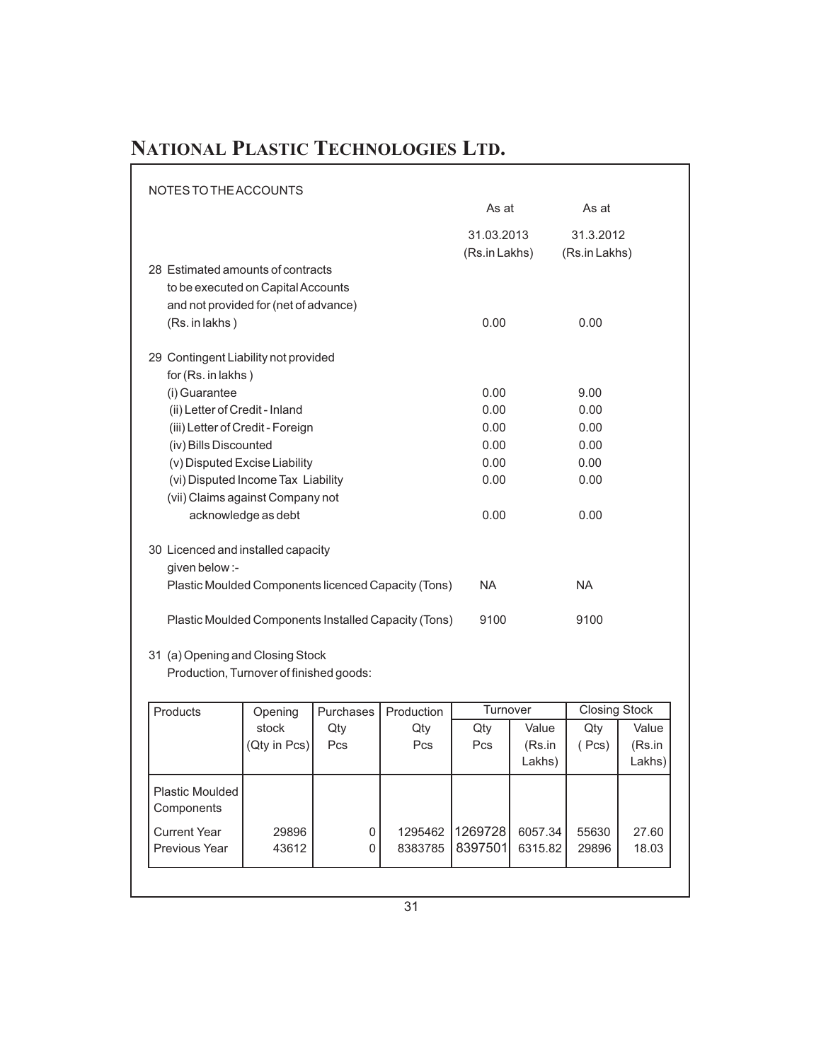| NOTES TO THE ACCOUNTS                                                                                                              |                             |                            |  |
|------------------------------------------------------------------------------------------------------------------------------------|-----------------------------|----------------------------|--|
|                                                                                                                                    | As at                       | As at                      |  |
|                                                                                                                                    | 31.03.2013<br>(Rs.in Lakhs) | 31.3.2012<br>(Rs.in Lakhs) |  |
| 28 Estimated amounts of contracts<br>to be executed on Capital Accounts<br>and not provided for (net of advance)<br>(Rs. in lakhs) | 0.00                        | 0.00                       |  |
| 29 Contingent Liability not provided<br>for (Rs. in lakhs)                                                                         |                             |                            |  |
| (i) Guarantee                                                                                                                      | 0.00                        | 9.00                       |  |
| (ii) Letter of Credit - Inland                                                                                                     | 0.00                        | 0.00                       |  |
| (iii) Letter of Credit - Foreign                                                                                                   | 0.00                        | 0.00                       |  |
| (iv) Bills Discounted                                                                                                              | 0.00                        | 0.00                       |  |
| (v) Disputed Excise Liability                                                                                                      | 0.00                        | 0.00                       |  |
| (vi) Disputed Income Tax Liability                                                                                                 | 0.00                        | 0.00                       |  |
| (vii) Claims against Company not                                                                                                   |                             |                            |  |
| acknowledge as debt                                                                                                                | 0.00                        | 0.00                       |  |
| 30 Licenced and installed capacity<br>given below :-                                                                               |                             |                            |  |
| Plastic Moulded Components licenced Capacity (Tons)                                                                                | <b>NA</b>                   | <b>NA</b>                  |  |
| Plastic Moulded Components Installed Capacity (Tons)                                                                               | 9100                        | 9100                       |  |
| 21 (a) Opening and Cleaing Stook                                                                                                   |                             |                            |  |

31 (a) Opening and Closing Stock

Production, Turnover of finished goods:

| Products                             | Opening                | <b>Purchases</b> | Production | Turnover |         | <b>Closing Stock</b> |        |
|--------------------------------------|------------------------|------------------|------------|----------|---------|----------------------|--------|
|                                      | stock                  | Qty              | Qty        | Qty      | Value   | Qty                  | Value  |
|                                      | $(Qty \in \text{Pcs})$ | Pcs              | Pcs        | Pcs      | (Rs.in  | (Pcs)                | (Rs.in |
|                                      |                        |                  |            |          | Lakhs)  |                      | Lakhs) |
| <b>Plastic Moulded</b><br>Components |                        |                  |            |          |         |                      |        |
| <b>Current Year</b>                  | 29896                  | 0                | 1295462    | 1269728  | 6057.34 | 55630                | 27.60  |
| Previous Year                        | 43612                  | 0                | 8383785    | 8397501  | 6315.82 | 29896                | 18.03  |
|                                      |                        |                  |            |          |         |                      |        |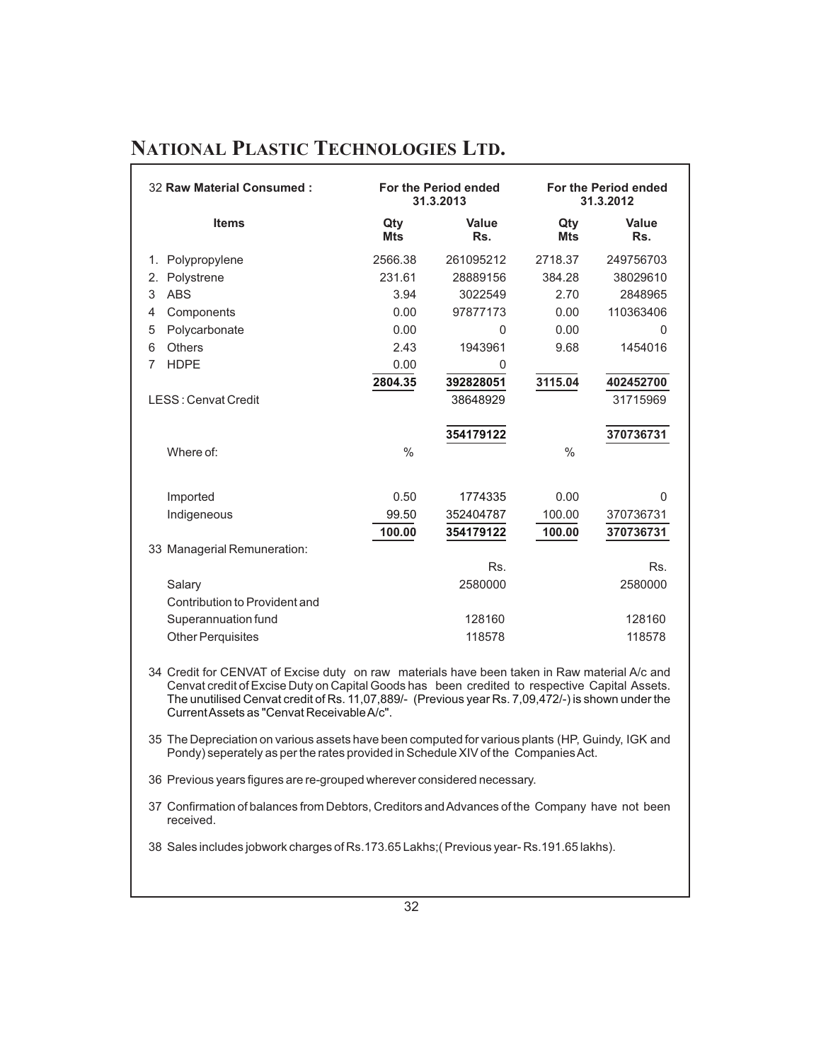| 32 Raw Material Consumed:<br>For the Period ended<br>31.3.2013 |                   |                      | <b>For the Period ended</b><br>31.3.2012 |                       |
|----------------------------------------------------------------|-------------------|----------------------|------------------------------------------|-----------------------|
| <b>Items</b>                                                   | Qty<br><b>Mts</b> | Value<br>Rs.         | Qty<br><b>Mts</b>                        | Value<br>Rs.          |
| Polypropylene<br>1.                                            | 2566.38           | 261095212            | 2718.37                                  | 249756703             |
| 2.<br>Polystrene                                               | 231.61            | 28889156             | 384.28                                   | 38029610              |
| <b>ABS</b><br>3                                                | 3.94              | 3022549              | 2.70                                     | 2848965               |
| Components<br>4                                                | 0.00              | 97877173             | 0.00                                     | 110363406             |
| Polycarbonate<br>5                                             | 0.00              | $\mathbf{0}$         | 0.00                                     | $\mathbf{0}$          |
| <b>Others</b><br>6                                             | 2.43              | 1943961              | 9.68                                     | 1454016               |
| <b>HDPE</b><br>7                                               | 0.00              | 0                    |                                          |                       |
|                                                                | 2804.35           | 392828051            | 3115.04                                  | 402452700             |
| LESS: Cenvat Credit                                            |                   | 38648929             |                                          | 31715969              |
| Where of:                                                      | $\frac{0}{0}$     | 354179122            | $\frac{0}{0}$                            | 370736731             |
| Imported                                                       | 0.50<br>99.50     | 1774335<br>352404787 | 0.00<br>100.00                           | $\Omega$<br>370736731 |
| Indigeneous                                                    | 100.00            | 354179122            | 100.00                                   | 370736731             |
| 33 Managerial Remuneration:                                    |                   |                      |                                          |                       |
|                                                                |                   | Rs.                  |                                          | Rs.                   |
| Salary                                                         |                   | 2580000              |                                          | 2580000               |
| Contribution to Provident and                                  |                   |                      |                                          |                       |
| Superannuation fund                                            |                   | 128160               |                                          | 128160                |
| <b>Other Perquisites</b>                                       |                   | 118578               |                                          | 118578                |

34 Credit for CENVAT of Excise duty on raw materials have been taken in Raw material A/c and Cenvat credit of Excise Duty on Capital Goods has been credited to respective Capital Assets. The unutilised Cenvat credit of Rs. 11,07,889/- (Previous year Rs. 7,09,472/-) is shown under the CurrentAssets as "Cenvat ReceivableA/c".

35 The Depreciation on various assets have been computed for various plants (HP, Guindy, IGK and Pondy) seperately as per the rates provided in Schedule XIV of the Companies Act.

36 Previous years figures are re-grouped wherever considered necessary.

37 Confirmation of balances from Debtors, Creditors andAdvances of the Company have not been received.

38 Sales includes jobwork charges of Rs.173.65 Lakhs;( Previous year- Rs.191.65 lakhs).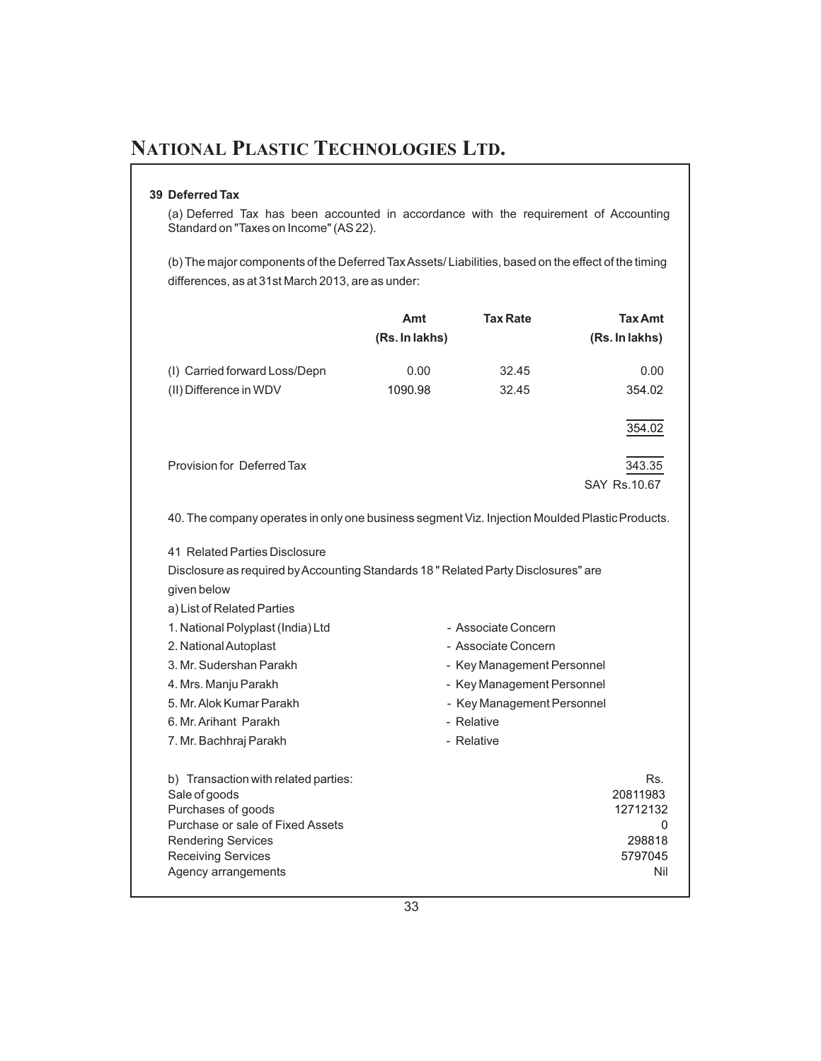#### **39 Deferred Tax**

(a) Deferred Tax has been accounted in accordance with the requirement of Accounting Standard on "Taxes on Income" (AS 22).

(b) The major components of the Deferred TaxAssets/ Liabilities, based on the effect of the timing differences, as at 31st March 2013, are as under:

|                                                                                                                                                                                                                                                                                                                                                                 | Amt            | <b>Tax Rate</b>                                                                                                                                                  | <b>Tax Amt</b>                                               |
|-----------------------------------------------------------------------------------------------------------------------------------------------------------------------------------------------------------------------------------------------------------------------------------------------------------------------------------------------------------------|----------------|------------------------------------------------------------------------------------------------------------------------------------------------------------------|--------------------------------------------------------------|
|                                                                                                                                                                                                                                                                                                                                                                 | (Rs. In lakhs) |                                                                                                                                                                  | (Rs. In lakhs)                                               |
| (I) Carried forward Loss/Depn                                                                                                                                                                                                                                                                                                                                   | 0.00           | 32.45                                                                                                                                                            | 0.00                                                         |
| (II) Difference in WDV                                                                                                                                                                                                                                                                                                                                          | 1090.98        | 32.45                                                                                                                                                            | 354.02                                                       |
|                                                                                                                                                                                                                                                                                                                                                                 |                |                                                                                                                                                                  | 354.02                                                       |
| Provision for Deferred Tax                                                                                                                                                                                                                                                                                                                                      |                |                                                                                                                                                                  | 343.35<br>SAY Rs. 10.67                                      |
| 40. The company operates in only one business segment Viz. Injection Moulded Plastic Products.                                                                                                                                                                                                                                                                  |                |                                                                                                                                                                  |                                                              |
| 41 Related Parties Disclosure<br>Disclosure as required by Accounting Standards 18" Related Party Disclosures" are<br>given below<br>a) List of Related Parties<br>1. National Polyplast (India) Ltd<br>2. National Autoplast<br>3. Mr. Sudershan Parakh<br>4. Mrs. Manju Parakh<br>5. Mr. Alok Kumar Parakh<br>6. Mr. Arihant Parakh<br>7. Mr. Bachhraj Parakh |                | - Associate Concern<br>- Associate Concern<br>- Key Management Personnel<br>- Key Management Personnel<br>- Key Management Personnel<br>- Relative<br>- Relative |                                                              |
| b) Transaction with related parties:<br>Sale of goods<br>Purchases of goods<br>Purchase or sale of Fixed Assets<br><b>Rendering Services</b><br><b>Receiving Services</b><br>Agency arrangements                                                                                                                                                                |                |                                                                                                                                                                  | Rs.<br>20811983<br>12712132<br>0<br>298818<br>5797045<br>Nil |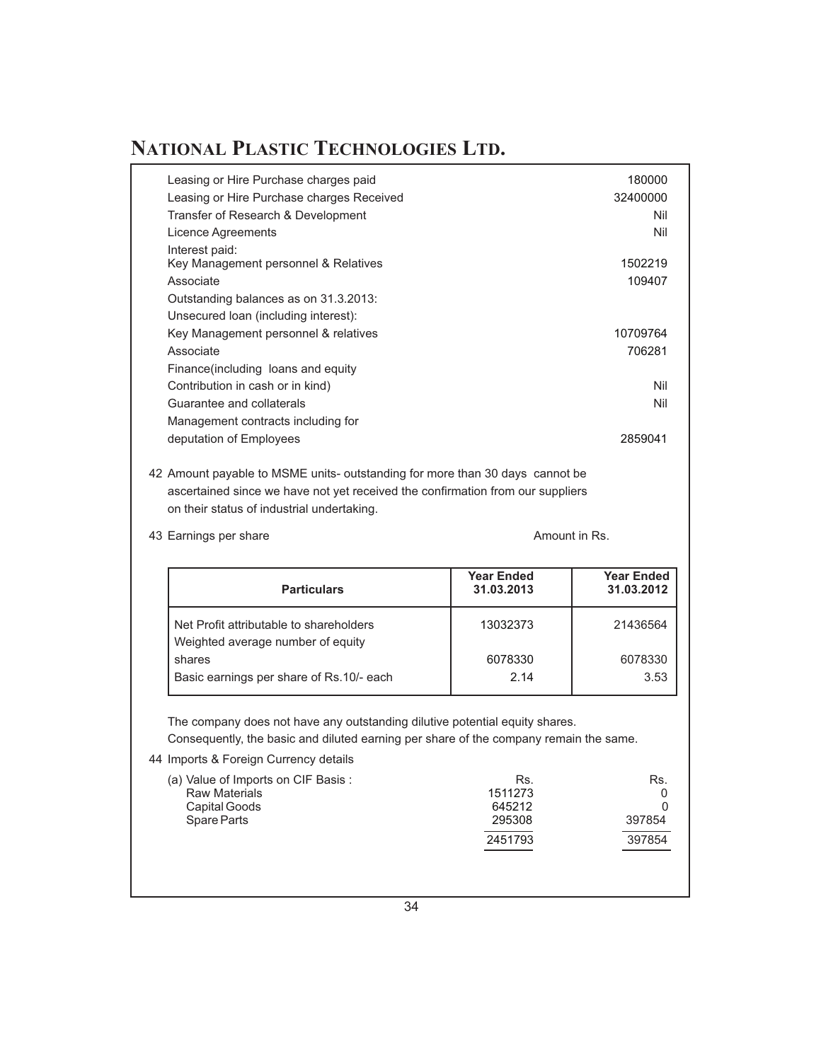| Leasing or Hire Purchase charges paid     | 180000   |
|-------------------------------------------|----------|
| Leasing or Hire Purchase charges Received | 32400000 |
| Transfer of Research & Development        | Nil      |
| Licence Agreements                        | Nil      |
| Interest paid:                            |          |
| Key Management personnel & Relatives      | 1502219  |
| Associate                                 | 109407   |
| Outstanding balances as on 31.3.2013:     |          |
| Unsecured loan (including interest):      |          |
| Key Management personnel & relatives      | 10709764 |
| Associate                                 | 706281   |
| Finance (including loans and equity       |          |
| Contribution in cash or in kind)          | Nil      |
| Guarantee and collaterals                 | Nil      |
| Management contracts including for        |          |
| deputation of Employees                   | 2859041  |

42 Amount payable to MSME units- outstanding for more than 30 days cannot be ascertained since we have not yet received the confirmation from our suppliers on their status of industrial undertaking.

43 Earnings per share Amount in Rs.

| <b>Particulars</b>                                                           | <b>Year Ended</b><br>31.03.2013 | <b>Year Ended</b><br>31.03.2012 |
|------------------------------------------------------------------------------|---------------------------------|---------------------------------|
| Net Profit attributable to shareholders<br>Weighted average number of equity | 13032373                        | 21436564                        |
| shares                                                                       | 6078330                         | 6078330                         |
| Basic earnings per share of Rs.10/- each                                     | 2.14                            | 3.53                            |

The company does not have any outstanding dilutive potential equity shares.

Consequently, the basic and diluted earning per share of the company remain the same.

44 Imports & Foreign Currency details

| (a) Value of Imports on CIF Basis: | Rs.     | Rs.    |
|------------------------------------|---------|--------|
| <b>Raw Materials</b>               | 1511273 |        |
| Capital Goods                      | 645212  |        |
| Spare Parts                        | 295308  | 397854 |
|                                    | 2451793 | 397854 |
|                                    |         |        |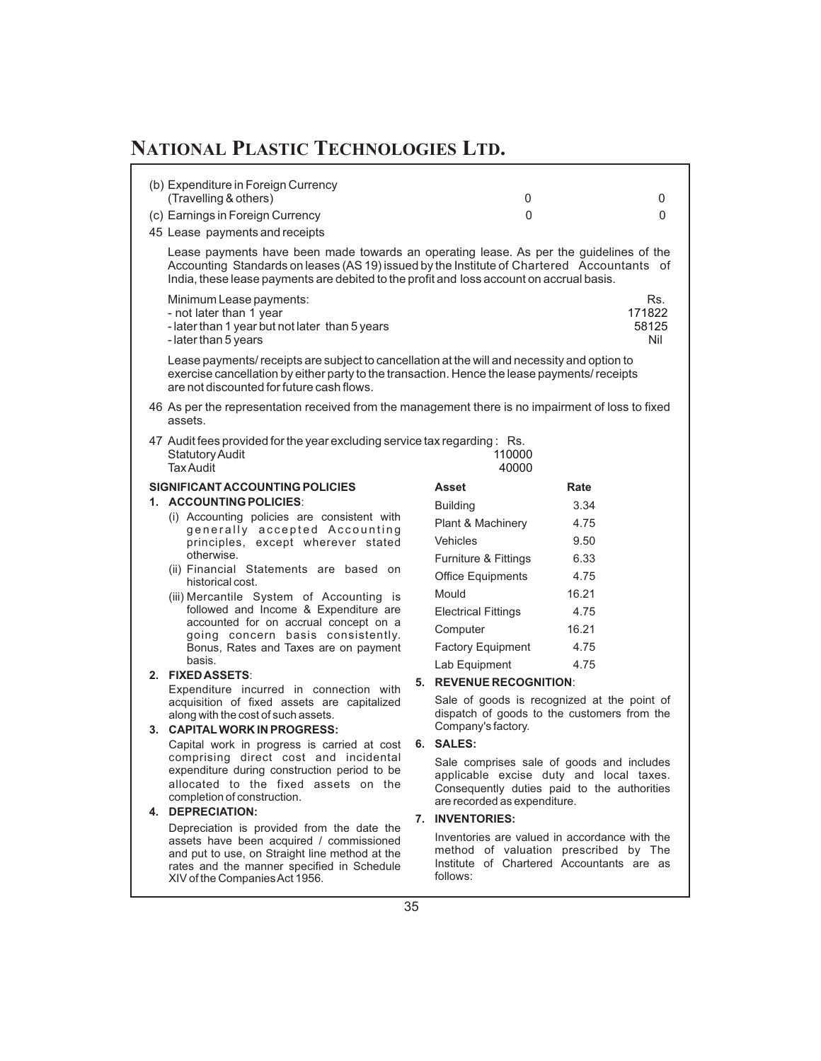| (b) Expenditure in Foreign Currency<br>(Travelling & others)                                                                                                                                                                                                                     |    | 0                                                                                                                                                                   |       | 0                             |
|----------------------------------------------------------------------------------------------------------------------------------------------------------------------------------------------------------------------------------------------------------------------------------|----|---------------------------------------------------------------------------------------------------------------------------------------------------------------------|-------|-------------------------------|
| (c) Earnings in Foreign Currency                                                                                                                                                                                                                                                 |    | 0                                                                                                                                                                   |       | $\Omega$                      |
| 45 Lease payments and receipts                                                                                                                                                                                                                                                   |    |                                                                                                                                                                     |       |                               |
|                                                                                                                                                                                                                                                                                  |    |                                                                                                                                                                     |       |                               |
| Lease payments have been made towards an operating lease. As per the guidelines of the<br>Accounting Standards on leases (AS 19) issued by the Institute of Chartered Accountants of<br>India, these lease payments are debited to the profit and loss account on accrual basis. |    |                                                                                                                                                                     |       |                               |
| Minimum Lease payments:<br>- not later than 1 year<br>- later than 1 year but not later than 5 years<br>- later than 5 years                                                                                                                                                     |    |                                                                                                                                                                     |       | Rs.<br>171822<br>58125<br>Nil |
| Lease payments/ receipts are subject to cancellation at the will and necessity and option to<br>exercise cancellation by either party to the transaction. Hence the lease payments/ receipts<br>are not discounted for future cash flows.                                        |    |                                                                                                                                                                     |       |                               |
| 46 As per the representation received from the management there is no impairment of loss to fixed<br>assets.                                                                                                                                                                     |    |                                                                                                                                                                     |       |                               |
| 47 Audit fees provided for the year excluding service tax regarding: Rs.<br><b>Statutory Audit</b><br><b>Tax Audit</b>                                                                                                                                                           |    | 110000<br>40000                                                                                                                                                     |       |                               |
| SIGNIFICANT ACCOUNTING POLICIES                                                                                                                                                                                                                                                  |    | Asset                                                                                                                                                               | Rate  |                               |
| 1. ACCOUNTING POLICIES:                                                                                                                                                                                                                                                          |    | <b>Building</b>                                                                                                                                                     | 3.34  |                               |
| (i) Accounting policies are consistent with                                                                                                                                                                                                                                      |    | Plant & Machinery                                                                                                                                                   | 4.75  |                               |
| generally accepted Accounting<br>principles, except wherever stated                                                                                                                                                                                                              |    | <b>Vehicles</b>                                                                                                                                                     | 9.50  |                               |
| otherwise.                                                                                                                                                                                                                                                                       |    | Furniture & Fittings                                                                                                                                                | 6.33  |                               |
| (ii) Financial Statements are based on                                                                                                                                                                                                                                           |    | <b>Office Equipments</b>                                                                                                                                            | 4.75  |                               |
| historical cost.<br>(iii) Mercantile System of Accounting is                                                                                                                                                                                                                     |    | Mould                                                                                                                                                               | 16.21 |                               |
| followed and Income & Expenditure are                                                                                                                                                                                                                                            |    | <b>Electrical Fittings</b>                                                                                                                                          | 4.75  |                               |
| accounted for on accrual concept on a                                                                                                                                                                                                                                            |    | Computer                                                                                                                                                            | 16.21 |                               |
| going concern basis consistently.<br>Bonus, Rates and Taxes are on payment                                                                                                                                                                                                       |    | <b>Factory Equipment</b>                                                                                                                                            | 4.75  |                               |
| basis.                                                                                                                                                                                                                                                                           |    | Lab Equipment                                                                                                                                                       | 4.75  |                               |
| 2. FIXED ASSETS:                                                                                                                                                                                                                                                                 |    | 5. REVENUE RECOGNITION:                                                                                                                                             |       |                               |
| Expenditure incurred in connection with<br>acquisition of fixed assets are capitalized                                                                                                                                                                                           |    | Sale of goods is recognized at the point of                                                                                                                         |       |                               |
| along with the cost of such assets.<br>3. CAPITAL WORK IN PROGRESS:                                                                                                                                                                                                              |    | dispatch of goods to the customers from the<br>Company's factory.                                                                                                   |       |                               |
| Capital work in progress is carried at cost                                                                                                                                                                                                                                      |    | 6. SALES:                                                                                                                                                           |       |                               |
| comprising direct cost and incidental<br>expenditure during construction period to be<br>allocated to the fixed assets on the<br>completion of construction.<br>4. DEPRECIATION:                                                                                                 |    | Sale comprises sale of goods and includes<br>applicable excise duty and local taxes.<br>Consequently duties paid to the authorities<br>are recorded as expenditure. |       |                               |
| Depreciation is provided from the date the                                                                                                                                                                                                                                       | 7. | <b>INVENTORIES:</b>                                                                                                                                                 |       |                               |
| assets have been acquired / commissioned<br>and put to use, on Straight line method at the<br>rates and the manner specified in Schedule<br>XIV of the Companies Act 1956.                                                                                                       |    | Inventories are valued in accordance with the<br>method of valuation prescribed by The<br>Institute of Chartered Accountants are as<br>follows:                     |       |                               |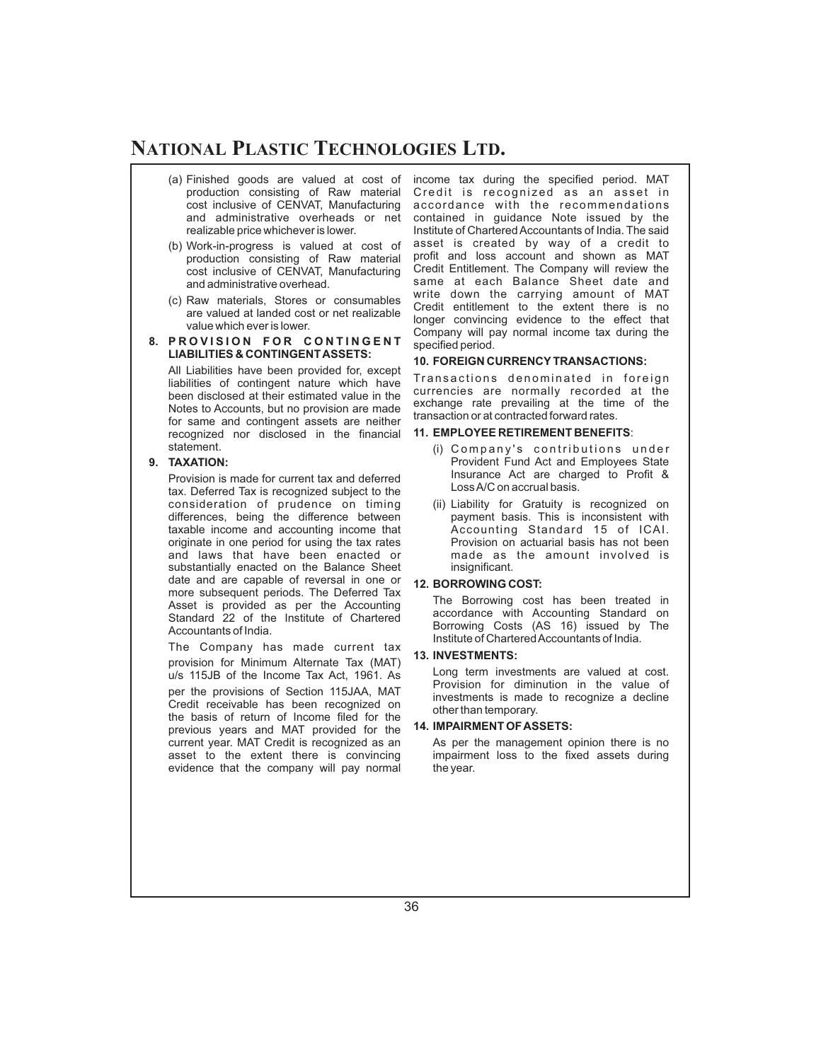- (a) Finished goods are valued at cost of production consisting of Raw material cost inclusive of CENVAT, Manufacturing and administrative overheads or net realizable price whichever is lower.
- (b) Work-in-progress is valued at cost of production consisting of Raw material cost inclusive of CENVAT, Manufacturing and administrative overhead.
- (c) Raw materials, Stores or consumables are valued at landed cost or net realizable value which ever is lower.

#### **8. PROVISION FOR CONTINGENT LIABILITIES & CONTINGENTASSETS:**

All Liabilities have been provided for, except liabilities of contingent nature which have been disclosed at their estimated value in the Notes to Accounts, but no provision are made for same and contingent assets are neither recognized nor disclosed in the financial statement.

#### **9. TAXATION:**

Provision is made for current tax and deferred tax. Deferred Tax is recognized subject to the consideration of prudence on timing differences, being the difference between taxable income and accounting income that originate in one period for using the tax rates and laws that have been enacted or substantially enacted on the Balance Sheet date and are capable of reversal in one or more subsequent periods. The Deferred Tax Asset is provided as per the Accounting Standard 22 of the Institute of Chartered Accountants of India.

The Company has made current tax provision for Minimum Alternate Tax (MAT) u/s 115JB of the Income Tax Act, 1961. As per the provisions of Section 115JAA, MAT Credit receivable has been recognized on the basis of return of Income filed for the previous years and MAT provided for the current year. MAT Credit is recognized as an asset to the extent there is convincing evidence that the company will pay normal income tax during the specified period. MAT Credit is recognized as an asset in accordance with the recommendations contained in guidance Note issued by the Institute of Chartered Accountants of India. The said asset is created by way of a credit to profit and loss account and shown as MAT Credit Entitlement. The Company will review the same at each Balance Sheet date and write down the carrying amount of MAT Credit entitlement to the extent there is no longer convincing evidence to the effect that Company will pay normal income tax during the specified period.

#### **10. FOREIGN CURRENCY TRANSACTIONS:**

Transactions denominated in foreign currencies are normally recorded at the exchange rate prevailing at the time of the transaction or at contracted forward rates.

#### **11. EMPLOYEE RETIREMENT BENEFITS**:

- (i) Company's contributions under Provident Fund Act and Employees State Insurance Act are charged to Profit & LossA/C on accrual basis.
- (ii) Liability for Gratuity is recognized on payment basis. This is inconsistent with Accounting Standard 15 of ICAI. Provision on actuarial basis has not been made as the amount involved is insignificant.

#### **12. BORROWING COST:**

The Borrowing cost has been treated in accordance with Accounting Standard on Borrowing Costs (AS 16) issued by The Institute of CharteredAccountants of India.

#### **13. INVESTMENTS:**

Long term investments are valued at cost. Provision for diminution in the value of investments is made to recognize a decline other than temporary.

#### **14. IMPAIRMENT OFASSETS:**

As per the management opinion there is no impairment loss to the fixed assets during the year.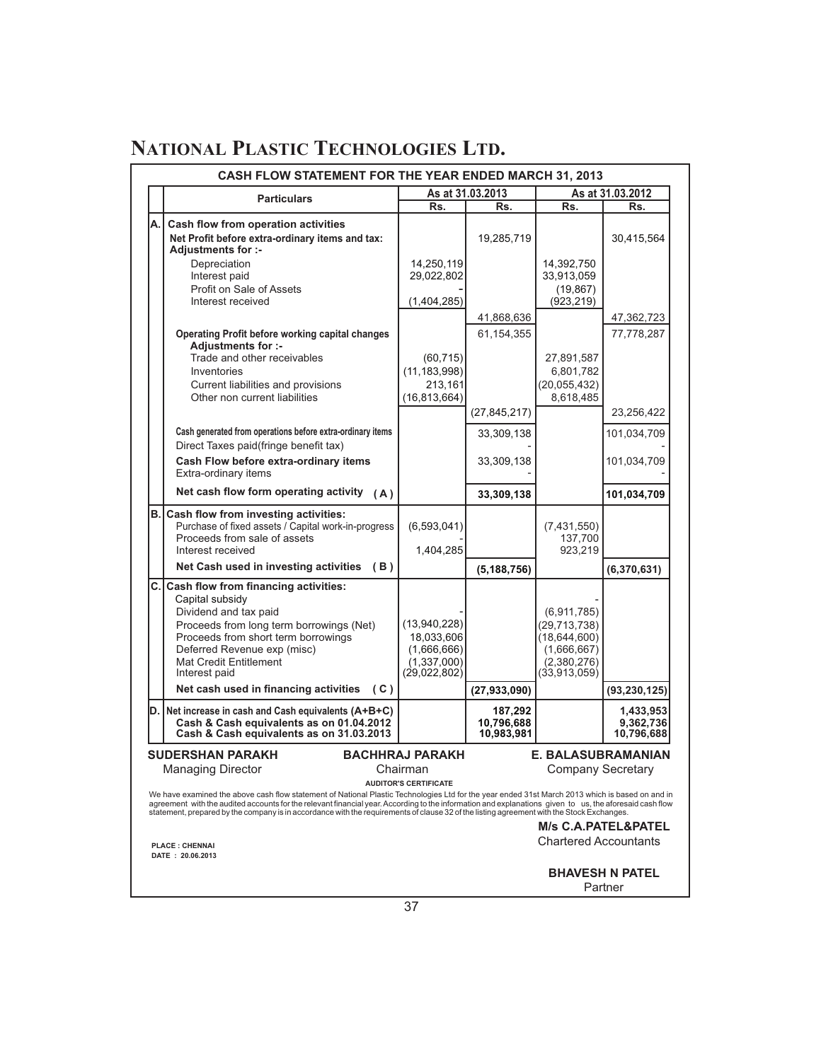|    | CASH FLOW STATEMENT FOR THE YEAR ENDED MARCH 31, 2013                                                                                                                                                                                                                                                                                                                                                                                                   |                                                                          |                              |                                                                                               |                                   |  |
|----|---------------------------------------------------------------------------------------------------------------------------------------------------------------------------------------------------------------------------------------------------------------------------------------------------------------------------------------------------------------------------------------------------------------------------------------------------------|--------------------------------------------------------------------------|------------------------------|-----------------------------------------------------------------------------------------------|-----------------------------------|--|
|    | <b>Particulars</b>                                                                                                                                                                                                                                                                                                                                                                                                                                      |                                                                          | As at 31.03.2013             |                                                                                               | As at 31.03.2012                  |  |
|    |                                                                                                                                                                                                                                                                                                                                                                                                                                                         | Rs.                                                                      | Rs.                          | Rs.                                                                                           | Rs.                               |  |
| A. | Cash flow from operation activities<br>Net Profit before extra-ordinary items and tax:<br><b>Adjustments for :-</b>                                                                                                                                                                                                                                                                                                                                     |                                                                          | 19,285,719                   |                                                                                               | 30,415,564                        |  |
|    | Depreciation<br>Interest paid<br>Profit on Sale of Assets<br>Interest received                                                                                                                                                                                                                                                                                                                                                                          | 14,250,119<br>29,022,802<br>(1,404,285)                                  | 41,868,636                   | 14,392,750<br>33,913,059<br>(19, 867)<br>(923, 219)                                           | 47,362,723                        |  |
|    | <b>Operating Profit before working capital changes</b><br>Adjustments for :-<br>Trade and other receivables<br>Inventories<br>Current liabilities and provisions<br>Other non current liabilities                                                                                                                                                                                                                                                       | (60, 715)<br>(11, 183, 998)<br>213,161<br>(16, 813, 664)                 | 61,154,355<br>(27, 845, 217) | 27,891,587<br>6,801,782<br>(20, 055, 432)<br>8,618,485                                        | 77,778,287<br>23,256,422          |  |
|    | Cash generated from operations before extra-ordinary items<br>Direct Taxes paid(fringe benefit tax)                                                                                                                                                                                                                                                                                                                                                     |                                                                          | 33,309,138                   |                                                                                               | 101,034,709                       |  |
|    | Cash Flow before extra-ordinary items<br>Extra-ordinary items                                                                                                                                                                                                                                                                                                                                                                                           |                                                                          | 33,309,138                   |                                                                                               | 101,034,709                       |  |
|    | Net cash flow form operating activity $(A)$                                                                                                                                                                                                                                                                                                                                                                                                             |                                                                          | 33,309,138                   |                                                                                               | 101,034,709                       |  |
|    | <b>B. Cash flow from investing activities:</b><br>Purchase of fixed assets / Capital work-in-progress<br>Proceeds from sale of assets<br>Interest received<br>Net Cash used in investing activities (B)                                                                                                                                                                                                                                                 | (6, 593, 041)<br>1,404,285                                               | (5, 188, 756)                | (7,431,550)<br>137,700<br>923.219                                                             | (6,370,631)                       |  |
|    | C. Cash flow from financing activities:<br>Capital subsidy<br>Dividend and tax paid<br>Proceeds from long term borrowings (Net)<br>Proceeds from short term borrowings<br>Deferred Revenue exp (misc)<br><b>Mat Credit Entitlement</b><br>Interest paid<br>Net cash used in financing activities (C)                                                                                                                                                    | (13,940,228)<br>18,033,606<br>(1,666,666)<br>(1,337,000)<br>(29,022,802) | (27, 933, 090)               | (6,911,785)<br>(29, 713, 738)<br>(18, 644, 600)<br>(1,666,667)<br>(2,380,276)<br>(33,913,059) | (93, 230, 125)                    |  |
|    | D. Net increase in cash and Cash equivalents (A+B+C)                                                                                                                                                                                                                                                                                                                                                                                                    |                                                                          | 187,292                      |                                                                                               | 1,433,953                         |  |
|    | Cash & Cash equivalents as on 01.04.2012<br>Cash & Cash equivalents as on 31.03.2013                                                                                                                                                                                                                                                                                                                                                                    |                                                                          | 10.796.688<br>10,983,981     |                                                                                               | 9,362,736<br>10,796,688           |  |
|    | <b>BACHHRAJ PARAKH</b><br><b>SUDERSHAN PARAKH</b><br>E. BALASUBRAMANIAN<br><b>Managing Director</b><br>Company Secretary<br>Chairman<br><b>AUDITOR'S CERTIFICATE</b>                                                                                                                                                                                                                                                                                    |                                                                          |                              |                                                                                               |                                   |  |
|    | We have examined the above cash flow statement of National Plastic Technologies Ltd for the year ended 31st March 2013 which is based on and in<br>agreement with the audited accounts for the relevant financial year. According to the information and explanations given to us, the aforesaid cash flow<br>statement, prepared by the company is in accordance with the requirements of clause 32 of the listing agreement with the Stock Exchanges. |                                                                          |                              |                                                                                               |                                   |  |
|    | <b>PLACE: CHENNAI</b><br>DATE: 20.06.2013                                                                                                                                                                                                                                                                                                                                                                                                               |                                                                          |                              | <b>M/s C.A.PATEL&amp;PATEL</b><br><b>Chartered Accountants</b>                                |                                   |  |
|    |                                                                                                                                                                                                                                                                                                                                                                                                                                                         |                                                                          |                              |                                                                                               | <b>BHAVESH N PATEL</b><br>Partner |  |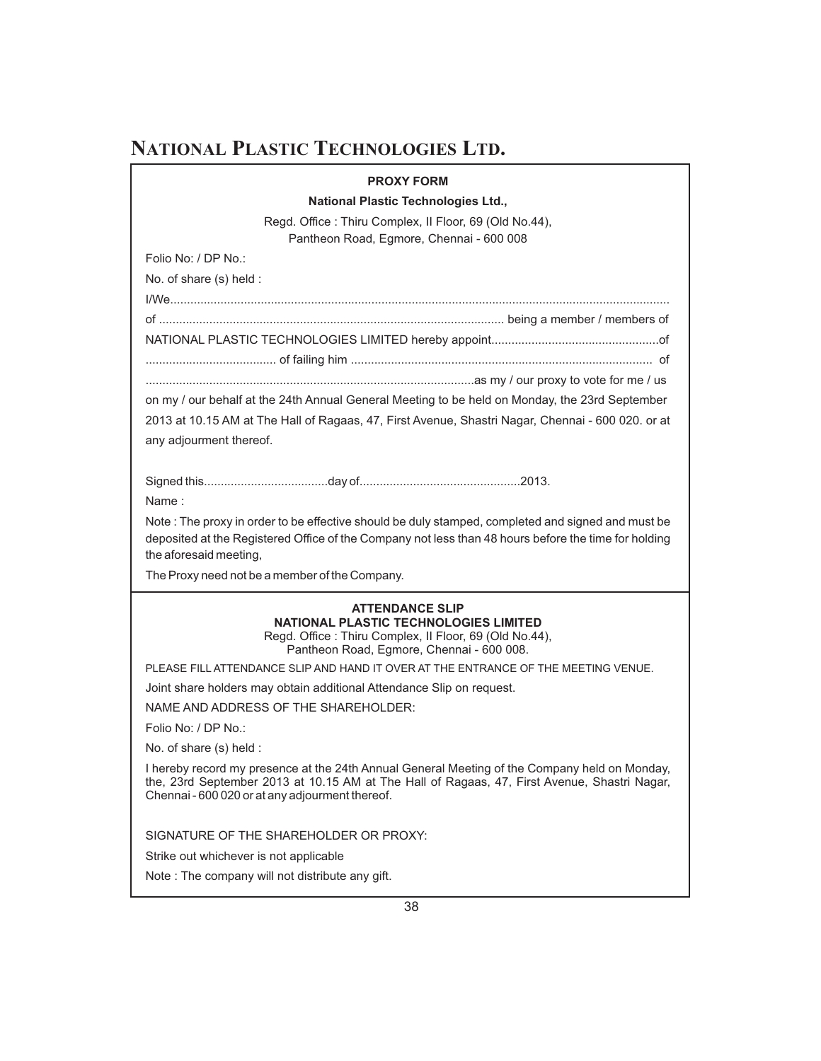#### **PROXY FORM**

#### **National Plastic Technologies Ltd.,**

Regd. Office : Thiru Complex, II Floor, 69 (Old No.44), Pantheon Road, Egmore, Chennai - 600 008

Folio No: / DP No.:

No. of share (s) held :

I/We..................................................................................................................................................... of ....................................................................................................... being a member / members of NATIONAL PLASTIC TECHNOLOGIES LIMITED hereby appoint..................................................of ....................................... of failing him .......................................................................................... of ..................................................................................................as my / our proxy to vote for me / us

on my / our behalf at the 24th Annual General Meeting to be held on Monday, the 23rd September 2013 at 10.15 AM at The Hall of Ragaas, 47, First Avenue, Shastri Nagar, Chennai - 600 020. or at any adjourment thereof.

Signed this.....................................day of................................................2013.

Name :

Note : The proxy in order to be effective should be duly stamped, completed and signed and must be deposited at the Registered Office of the Company not less than 48 hours before the time for holding the aforesaid meeting,

The Proxy need not be a member of the Company.

#### **ATTENDANCE SLIP NATIONAL PLASTIC TECHNOLOGIES LIMITED**

Regd. Office : Thiru Complex, II Floor, 69 (Old No.44), Pantheon Road, Egmore, Chennai - 600 008.

PLEASE FILL ATTENDANCE SLIP AND HAND IT OVER AT THE ENTRANCE OF THE MEETING VENUE.

Joint share holders may obtain additional Attendance Slip on request.

NAME AND ADDRESS OF THE SHAREHOLDER:

Folio No: / DP No.:

No. of share (s) held :

I hereby record my presence at the 24th Annual General Meeting of the Company held on Monday, the, 23rd September 2013 at 10.15 AM at The Hall of Ragaas, 47, First Avenue, Shastri Nagar, Chennai - 600 020 or at any adjourment thereof.

SIGNATURE OF THE SHAREHOLDER OR PROXY:

Strike out whichever is not applicable

Note : The company will not distribute any gift.